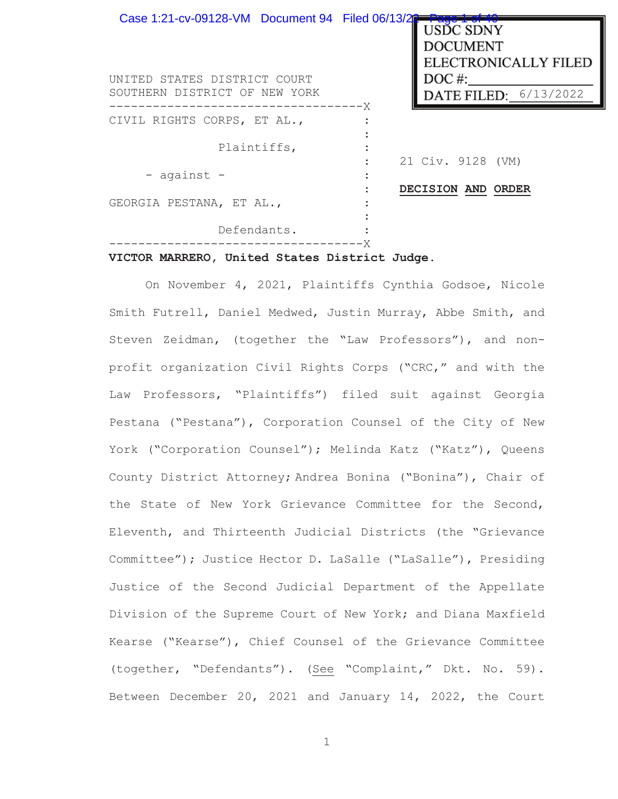| Case 1:21-cv-09128-VM Document 94 Filed 06/13/2<br>UNITED STATES DISTRICT COURT<br>SOUTHERN DISTRICT OF NEW YORK | - age<br>USDC SDNY<br><b>DOCUMENT</b><br><b>ELECTRONICALLY FILED</b><br>$DOC$ #: |
|------------------------------------------------------------------------------------------------------------------|----------------------------------------------------------------------------------|
|                                                                                                                  | DATE FILED: 6/13/2022<br>——————— X                                               |
| CIVIL RIGHTS CORPS, ET AL.,                                                                                      |                                                                                  |
| Plaintiffs,                                                                                                      | 21 Civ. 9128 (VM)                                                                |
| - against -                                                                                                      |                                                                                  |
| GEORGIA PESTANA, ET AL.,                                                                                         | DECISION AND ORDER                                                               |
| Defendants.                                                                                                      |                                                                                  |

# **VICTOR MARRERO, United States District Judge.**

On November 4, 2021, Plaintiffs Cynthia Godsoe, Nicole Smith Futrell, Daniel Medwed, Justin Murray, Abbe Smith, and Steven Zeidman, (together the "Law Professors"), and nonprofit organization Civil Rights Corps ("CRC," and with the Law Professors, "Plaintiffs") filed suit against Georgia Pestana ("Pestana"), Corporation Counsel of the City of New York ("Corporation Counsel"); Melinda Katz ("Katz"), Queens County District Attorney; Andrea Bonina ("Bonina"), Chair of the State of New York Grievance Committee for the Second, Eleventh, and Thirteenth Judicial Districts (the "Grievance Committee"); Justice Hector D. LaSalle ("LaSalle"), Presiding Justice of the Second Judicial Department of the Appellate Division of the Supreme Court of New York; and Diana Maxfield Kearse ("Kearse"), Chief Counsel of the Grievance Committee (together, "Defendants"). (See "Complaint," Dkt. No. 59). Between December 20, 2021 and January 14, 2022, the Court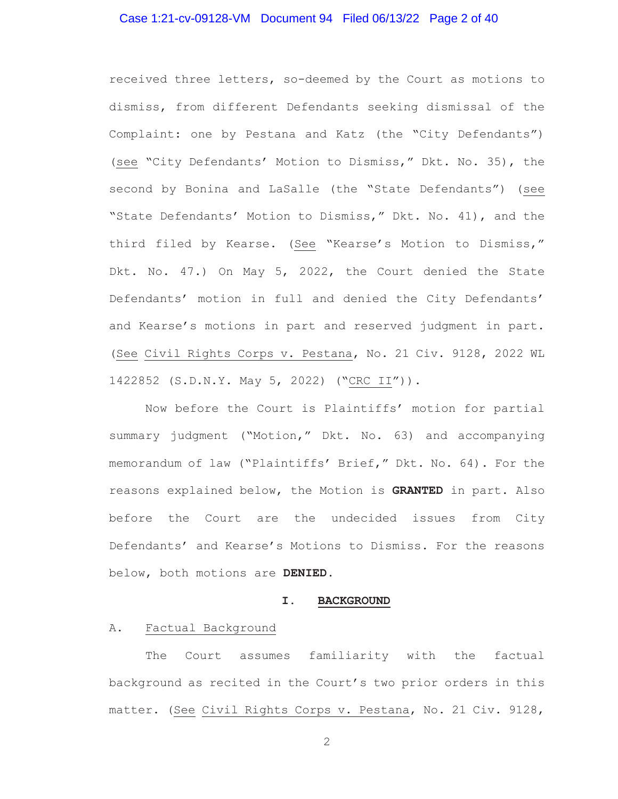### Case 1:21-cv-09128-VM Document 94 Filed 06/13/22 Page 2 of 40

received three letters, so-deemed by the Court as motions to dismiss, from different Defendants seeking dismissal of the Complaint: one by Pestana and Katz (the "City Defendants") (see "City Defendants' Motion to Dismiss," Dkt. No. 35), the second by Bonina and LaSalle (the "State Defendants") (see "State Defendants' Motion to Dismiss," Dkt. No. 41), and the third filed by Kearse. (See "Kearse's Motion to Dismiss," Dkt. No. 47.) On May 5, 2022, the Court denied the State Defendants' motion in full and denied the City Defendants' and Kearse's motions in part and reserved judgment in part. (See Civil Rights Corps v. Pestana, No. 21 Civ. 9128, 2022 WL 1422852 (S.D.N.Y. May 5, 2022) ("CRC II")).

Now before the Court is Plaintiffs' motion for partial summary judgment ("Motion," Dkt. No. 63) and accompanying memorandum of law ("Plaintiffs' Brief," Dkt. No. 64). For the reasons explained below, the Motion is **GRANTED** in part. Also before the Court are the undecided issues from City Defendants' and Kearse's Motions to Dismiss. For the reasons below, both motions are **DENIED**.

#### **I. BACKGROUND**

#### A. Factual Background

 The Court assumes familiarity with the factual background as recited in the Court's two prior orders in this matter. (See Civil Rights Corps v. Pestana, No. 21 Civ. 9128,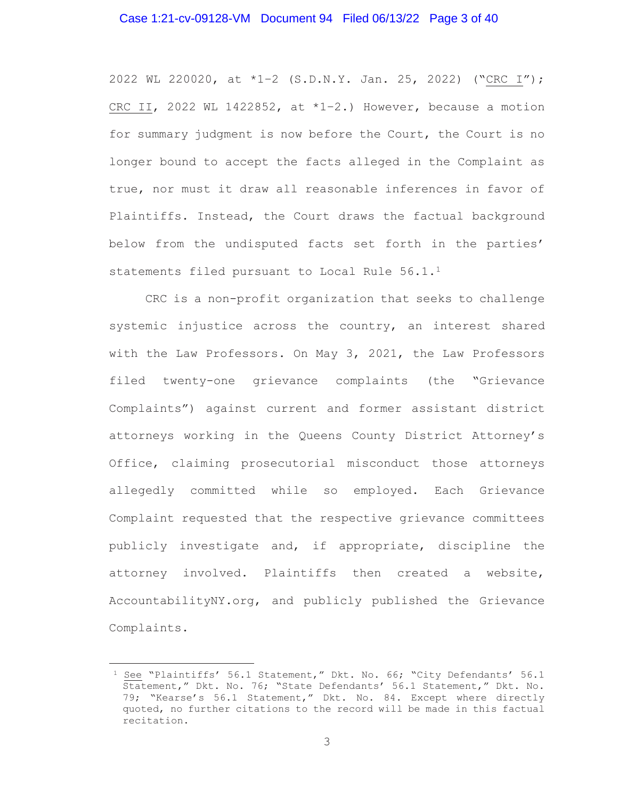### Case 1:21-cv-09128-VM Document 94 Filed 06/13/22 Page 3 of 40

2022 WL 220020, at \*1–2 (S.D.N.Y. Jan. 25, 2022) ("CRC I"); CRC II, 2022 WL 1422852, at  $*1-2.$ ) However, because a motion for summary judgment is now before the Court, the Court is no longer bound to accept the facts alleged in the Complaint as true, nor must it draw all reasonable inferences in favor of Plaintiffs. Instead, the Court draws the factual background below from the undisputed facts set forth in the parties' statements filed pursuant to Local Rule 56.1.<sup>1</sup>

CRC is a non-profit organization that seeks to challenge systemic injustice across the country, an interest shared with the Law Professors. On May 3, 2021, the Law Professors filed twenty-one grievance complaints (the "Grievance Complaints") against current and former assistant district attorneys working in the Queens County District Attorney's Office, claiming prosecutorial misconduct those attorneys allegedly committed while so employed. Each Grievance Complaint requested that the respective grievance committees publicly investigate and, if appropriate, discipline the attorney involved. Plaintiffs then created a website, AccountabilityNY.org, and publicly published the Grievance Complaints.

<sup>1</sup> See "Plaintiffs' 56.1 Statement," Dkt. No. 66; "City Defendants' 56.1 Statement," Dkt. No. 76; "State Defendants' 56.1 Statement," Dkt. No. 79; "Kearse's 56.1 Statement," Dkt. No. 84. Except where directly quoted, no further citations to the record will be made in this factual recitation.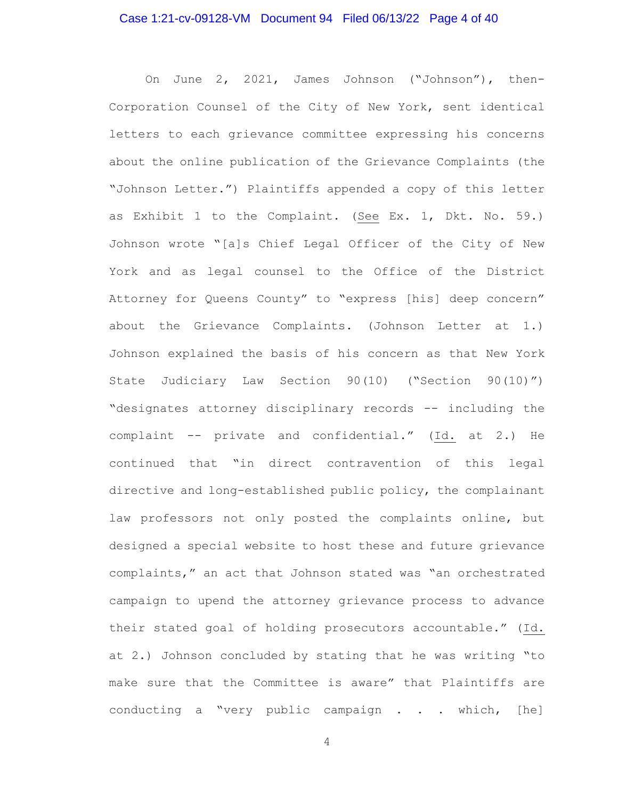### Case 1:21-cv-09128-VM Document 94 Filed 06/13/22 Page 4 of 40

On June 2, 2021, James Johnson ("Johnson"), then-Corporation Counsel of the City of New York, sent identical letters to each grievance committee expressing his concerns about the online publication of the Grievance Complaints (the "Johnson Letter.") Plaintiffs appended a copy of this letter as Exhibit 1 to the Complaint. (See Ex. 1, Dkt. No. 59.) Johnson wrote "[a]s Chief Legal Officer of the City of New York and as legal counsel to the Office of the District Attorney for Queens County" to "express [his] deep concern" about the Grievance Complaints. (Johnson Letter at 1.) Johnson explained the basis of his concern as that New York State Judiciary Law Section 90(10) ("Section 90(10)") "designates attorney disciplinary records -- including the complaint -- private and confidential." (Id. at 2.) He continued that "in direct contravention of this legal directive and long-established public policy, the complainant law professors not only posted the complaints online, but designed a special website to host these and future grievance complaints," an act that Johnson stated was "an orchestrated campaign to upend the attorney grievance process to advance their stated goal of holding prosecutors accountable." (Id. at 2.) Johnson concluded by stating that he was writing "to make sure that the Committee is aware" that Plaintiffs are conducting a "very public campaign . . . which, [he]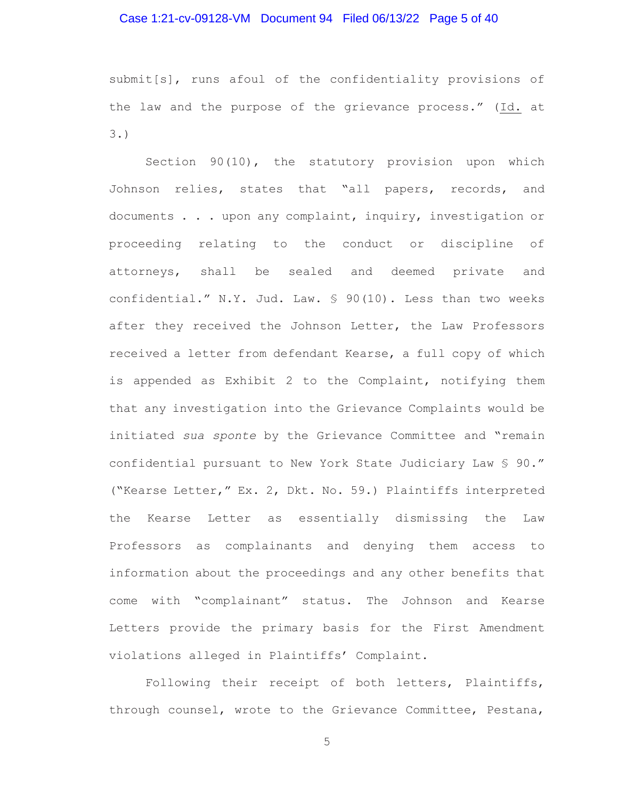### Case 1:21-cv-09128-VM Document 94 Filed 06/13/22 Page 5 of 40

submit[s], runs afoul of the confidentiality provisions of the law and the purpose of the grievance process." (Id. at 3.)

Section 90(10), the statutory provision upon which Johnson relies, states that "all papers, records, and documents . . . upon any complaint, inquiry, investigation or proceeding relating to the conduct or discipline of attorneys, shall be sealed and deemed private and confidential." N.Y. Jud. Law. § 90(10). Less than two weeks after they received the Johnson Letter, the Law Professors received a letter from defendant Kearse, a full copy of which is appended as Exhibit 2 to the Complaint, notifying them that any investigation into the Grievance Complaints would be initiated *sua sponte* by the Grievance Committee and "remain confidential pursuant to New York State Judiciary Law § 90." ("Kearse Letter," Ex. 2, Dkt. No. 59.) Plaintiffs interpreted the Kearse Letter as essentially dismissing the Law Professors as complainants and denying them access to information about the proceedings and any other benefits that come with "complainant" status. The Johnson and Kearse Letters provide the primary basis for the First Amendment violations alleged in Plaintiffs' Complaint.

Following their receipt of both letters, Plaintiffs, through counsel, wrote to the Grievance Committee, Pestana,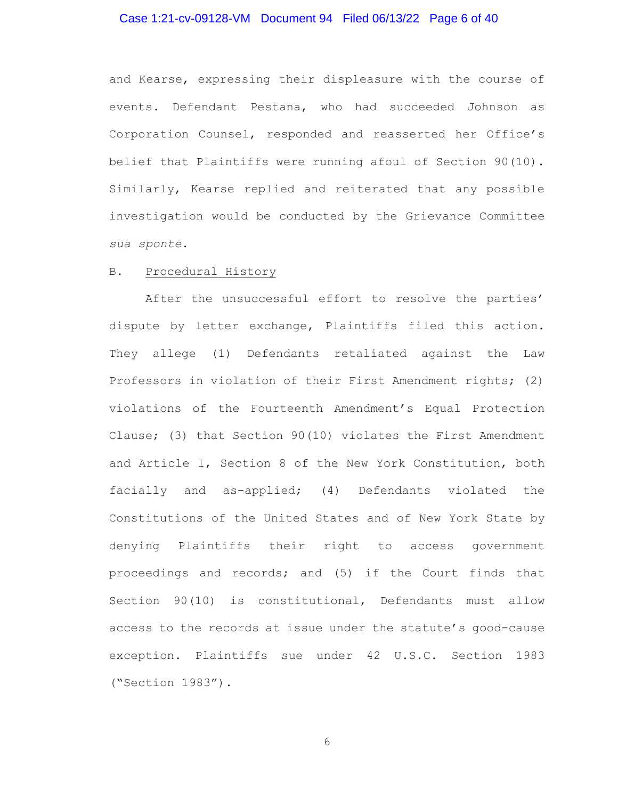# Case 1:21-cv-09128-VM Document 94 Filed 06/13/22 Page 6 of 40

and Kearse, expressing their displeasure with the course of events. Defendant Pestana, who had succeeded Johnson as Corporation Counsel, responded and reasserted her Office's belief that Plaintiffs were running afoul of Section 90(10). Similarly, Kearse replied and reiterated that any possible investigation would be conducted by the Grievance Committee *sua sponte*.

# B. Procedural History

After the unsuccessful effort to resolve the parties' dispute by letter exchange, Plaintiffs filed this action. They allege (1) Defendants retaliated against the Law Professors in violation of their First Amendment rights; (2) violations of the Fourteenth Amendment's Equal Protection Clause; (3) that Section 90(10) violates the First Amendment and Article I, Section 8 of the New York Constitution, both facially and as-applied; (4) Defendants violated the Constitutions of the United States and of New York State by denying Plaintiffs their right to access government proceedings and records; and (5) if the Court finds that Section 90(10) is constitutional, Defendants must allow access to the records at issue under the statute's good-cause exception. Plaintiffs sue under 42 U.S.C. Section 1983 ("Section 1983").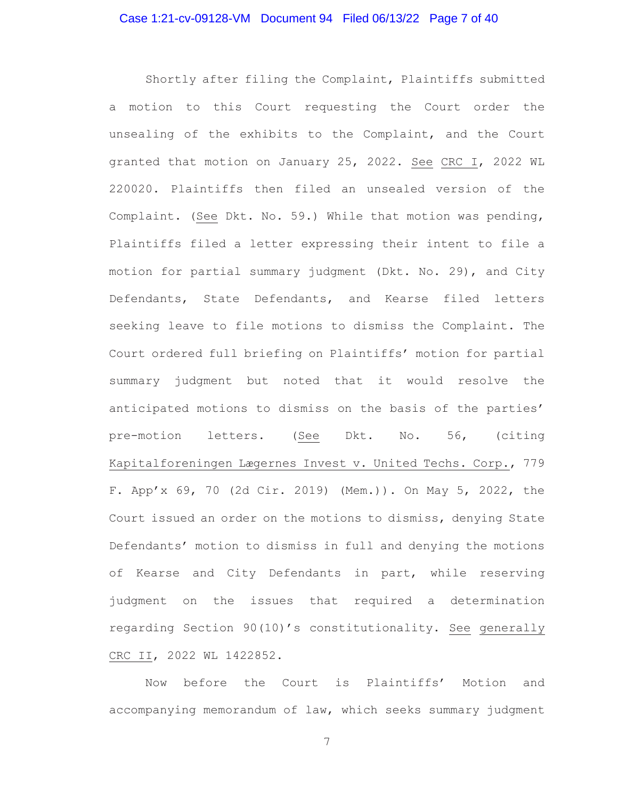Shortly after filing the Complaint, Plaintiffs submitted a motion to this Court requesting the Court order the unsealing of the exhibits to the Complaint, and the Court granted that motion on January 25, 2022. See CRC I, 2022 WL 220020. Plaintiffs then filed an unsealed version of the Complaint. (See Dkt. No. 59.) While that motion was pending, Plaintiffs filed a letter expressing their intent to file a motion for partial summary judgment (Dkt. No. 29), and City Defendants, State Defendants, and Kearse filed letters seeking leave to file motions to dismiss the Complaint. The Court ordered full briefing on Plaintiffs' motion for partial summary judgment but noted that it would resolve the anticipated motions to dismiss on the basis of the parties' pre-motion letters. (See Dkt. No. 56, (citing Kapitalforeningen Lægernes Invest v. United Techs. Corp., 779 F. App'x 69, 70 (2d Cir. 2019) (Mem.)). On May 5, 2022, the Court issued an order on the motions to dismiss, denying State Defendants' motion to dismiss in full and denying the motions of Kearse and City Defendants in part, while reserving judgment on the issues that required a determination regarding Section 90(10)'s constitutionality. See generally CRC II, 2022 WL 1422852.

 Now before the Court is Plaintiffs' Motion and accompanying memorandum of law, which seeks summary judgment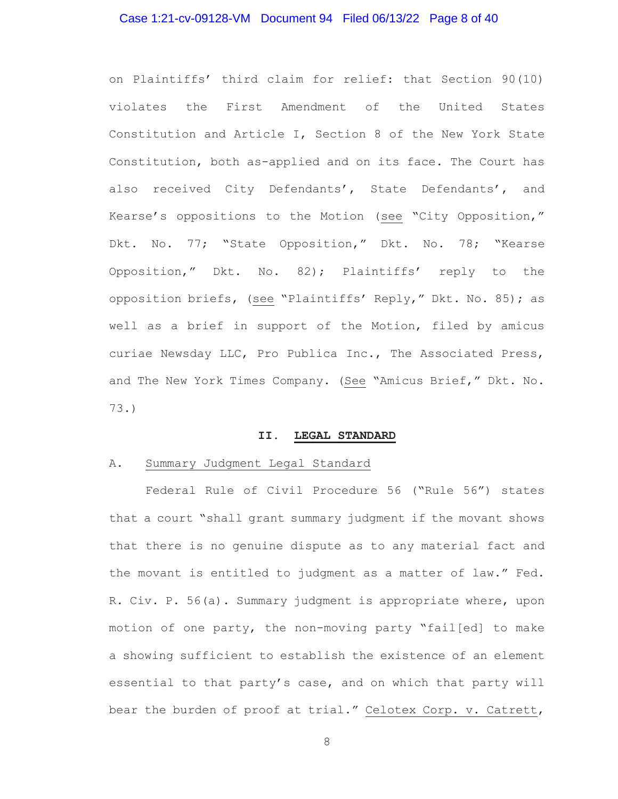### Case 1:21-cv-09128-VM Document 94 Filed 06/13/22 Page 8 of 40

on Plaintiffs' third claim for relief: that Section 90(10) violates the First Amendment of the United States Constitution and Article I, Section 8 of the New York State Constitution, both as-applied and on its face. The Court has also received City Defendants', State Defendants', and Kearse's oppositions to the Motion (see "City Opposition," Dkt. No. 77; "State Opposition," Dkt. No. 78; "Kearse Opposition," Dkt. No. 82); Plaintiffs' reply to the opposition briefs, (see "Plaintiffs' Reply," Dkt. No. 85); as well as a brief in support of the Motion, filed by amicus curiae Newsday LLC, Pro Publica Inc., The Associated Press, and The New York Times Company. (See "Amicus Brief," Dkt. No. 73.)

#### **II. LEGAL STANDARD**

#### A. Summary Judgment Legal Standard

Federal Rule of Civil Procedure 56 ("Rule 56") states that a court "shall grant summary judgment if the movant shows that there is no genuine dispute as to any material fact and the movant is entitled to judgment as a matter of law." Fed. R. Civ. P. 56(a). Summary judgment is appropriate where, upon motion of one party, the non-moving party "fail[ed] to make a showing sufficient to establish the existence of an element essential to that party's case, and on which that party will bear the burden of proof at trial." Celotex Corp. v. Catrett,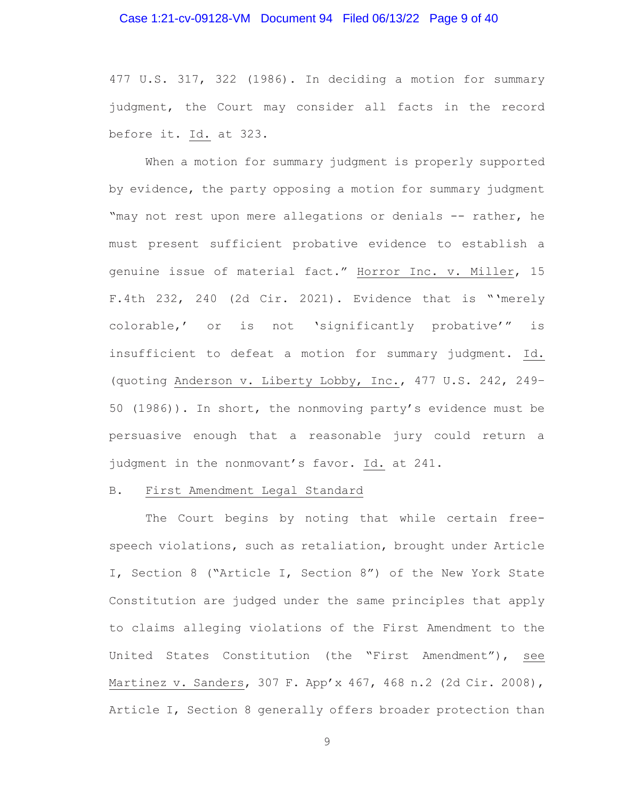#### Case 1:21-cv-09128-VM Document 94 Filed 06/13/22 Page 9 of 40

477 U.S. 317, 322 (1986). In deciding a motion for summary judgment, the Court may consider all facts in the record before it. Id. at 323.

When a motion for summary judgment is properly supported by evidence, the party opposing a motion for summary judgment "may not rest upon mere allegations or denials -- rather, he must present sufficient probative evidence to establish a genuine issue of material fact." Horror Inc. v. Miller, 15 F.4th 232, 240 (2d Cir. 2021). Evidence that is "'merely colorable,' or is not 'significantly probative'" is insufficient to defeat a motion for summary judgment. Id. (quoting Anderson v. Liberty Lobby, Inc., 477 U.S. 242, 249– 50 (1986)). In short, the nonmoving party's evidence must be persuasive enough that a reasonable jury could return a judgment in the nonmovant's favor. Id. at 241.

#### B. First Amendment Legal Standard

The Court begins by noting that while certain freespeech violations, such as retaliation, brought under Article I, Section 8 ("Article I, Section 8") of the New York State Constitution are judged under the same principles that apply to claims alleging violations of the First Amendment to the United States Constitution (the "First Amendment"), see Martinez v. Sanders, 307 F. App'x 467, 468 n.2 (2d Cir. 2008), Article I, Section 8 generally offers broader protection than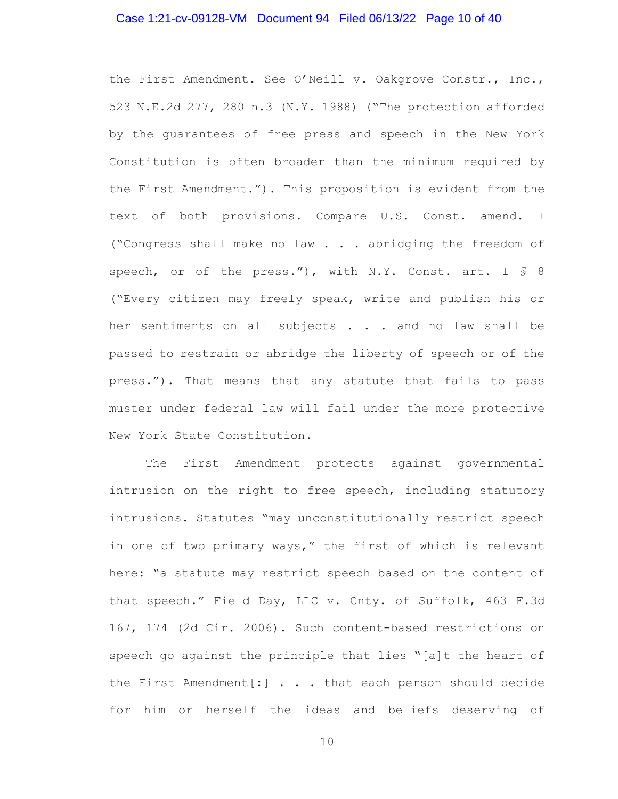### Case 1:21-cv-09128-VM Document 94 Filed 06/13/22 Page 10 of 40

the First Amendment. See O'Neill v. Oakgrove Constr., Inc., 523 N.E.2d 277, 280 n.3 (N.Y. 1988) ("The protection afforded by the guarantees of free press and speech in the New York Constitution is often broader than the minimum required by the First Amendment."). This proposition is evident from the text of both provisions. Compare U.S. Const. amend. I ("Congress shall make no law . . . abridging the freedom of speech, or of the press."), with N.Y. Const. art. I § 8 ("Every citizen may freely speak, write and publish his or her sentiments on all subjects . . . and no law shall be passed to restrain or abridge the liberty of speech or of the press."). That means that any statute that fails to pass muster under federal law will fail under the more protective New York State Constitution.

The First Amendment protects against governmental intrusion on the right to free speech, including statutory intrusions. Statutes "may unconstitutionally restrict speech in one of two primary ways," the first of which is relevant here: "a statute may restrict speech based on the content of that speech." Field Day, LLC v. Cnty. of Suffolk, 463 F.3d 167, 174 (2d Cir. 2006). Such content-based restrictions on speech go against the principle that lies "[a]t the heart of the First Amendment[:] . . . that each person should decide for him or herself the ideas and beliefs deserving of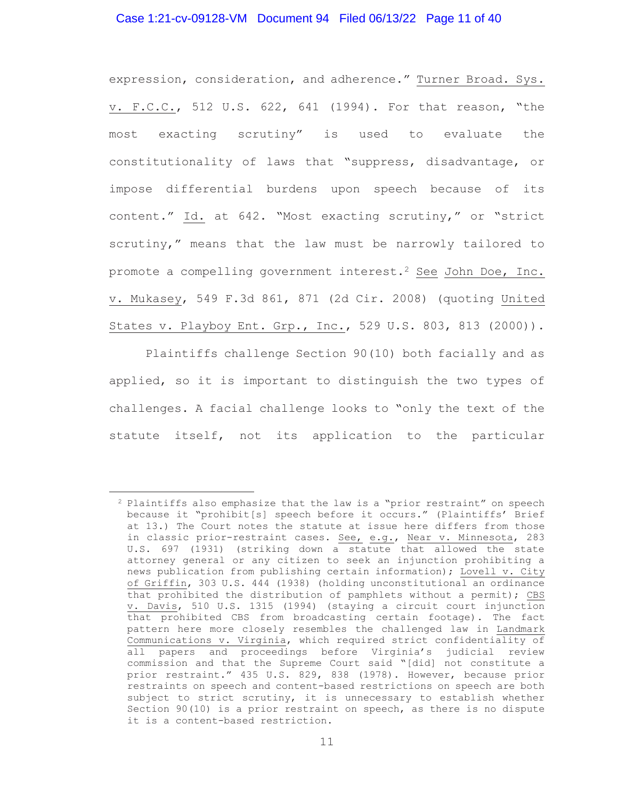# Case 1:21-cv-09128-VM Document 94 Filed 06/13/22 Page 11 of 40

expression, consideration, and adherence." Turner Broad. Sys. v. F.C.C., 512 U.S. 622, 641 (1994). For that reason, "the most exacting scrutiny" is used to evaluate the constitutionality of laws that "suppress, disadvantage, or impose differential burdens upon speech because of its content." Id. at 642. "Most exacting scrutiny," or "strict scrutiny," means that the law must be narrowly tailored to promote a compelling government interest.2 See John Doe, Inc. v. Mukasey, 549 F.3d 861, 871 (2d Cir. 2008) (quoting United States v. Playboy Ent. Grp., Inc., 529 U.S. 803, 813 (2000)).

Plaintiffs challenge Section 90(10) both facially and as applied, so it is important to distinguish the two types of challenges. A facial challenge looks to "only the text of the statute itself, not its application to the particular

<sup>2</sup> Plaintiffs also emphasize that the law is a "prior restraint" on speech because it "prohibit[s] speech before it occurs." (Plaintiffs' Brief at 13.) The Court notes the statute at issue here differs from those in classic prior-restraint cases. See, e.g., Near v. Minnesota, 283 U.S. 697 (1931) (striking down a statute that allowed the state attorney general or any citizen to seek an injunction prohibiting a news publication from publishing certain information); Lovell v. City of Griffin, 303 U.S. 444 (1938) (holding unconstitutional an ordinance that prohibited the distribution of pamphlets without a permit); CBS v. Davis, 510 U.S. 1315 (1994) (staying a circuit court injunction that prohibited CBS from broadcasting certain footage). The fact pattern here more closely resembles the challenged law in Landmark Communications v. Virginia, which required strict confidentiality of all papers and proceedings before Virginia's judicial review commission and that the Supreme Court said "[did] not constitute a prior restraint." 435 U.S. 829, 838 (1978). However, because prior restraints on speech and content-based restrictions on speech are both subject to strict scrutiny, it is unnecessary to establish whether Section 90(10) is a prior restraint on speech, as there is no dispute it is a content-based restriction.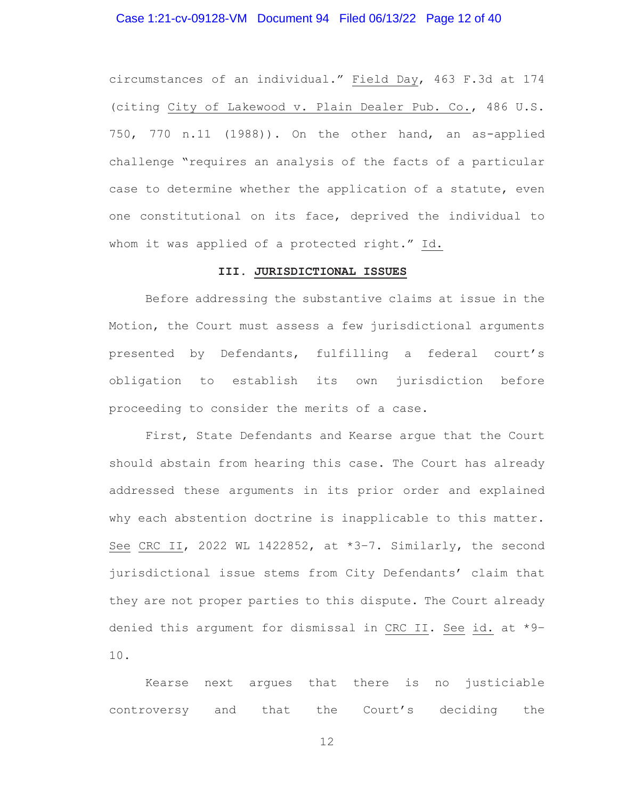## Case 1:21-cv-09128-VM Document 94 Filed 06/13/22 Page 12 of 40

circumstances of an individual." Field Day, 463 F.3d at 174 (citing City of Lakewood v. Plain Dealer Pub. Co., 486 U.S. 750, 770 n.11 (1988)). On the other hand, an as-applied challenge "requires an analysis of the facts of a particular case to determine whether the application of a statute, even one constitutional on its face, deprived the individual to whom it was applied of a protected right." Id.

#### **III. JURISDICTIONAL ISSUES**

 Before addressing the substantive claims at issue in the Motion, the Court must assess a few jurisdictional arguments presented by Defendants, fulfilling a federal court's obligation to establish its own jurisdiction before proceeding to consider the merits of a case.

First, State Defendants and Kearse argue that the Court should abstain from hearing this case. The Court has already addressed these arguments in its prior order and explained why each abstention doctrine is inapplicable to this matter. See CRC II, 2022 WL 1422852, at \*3-7. Similarly, the second jurisdictional issue stems from City Defendants' claim that they are not proper parties to this dispute. The Court already denied this argument for dismissal in CRC II. See id. at \*9– 10.

Kearse next argues that there is no justiciable controversy and that the Court's deciding the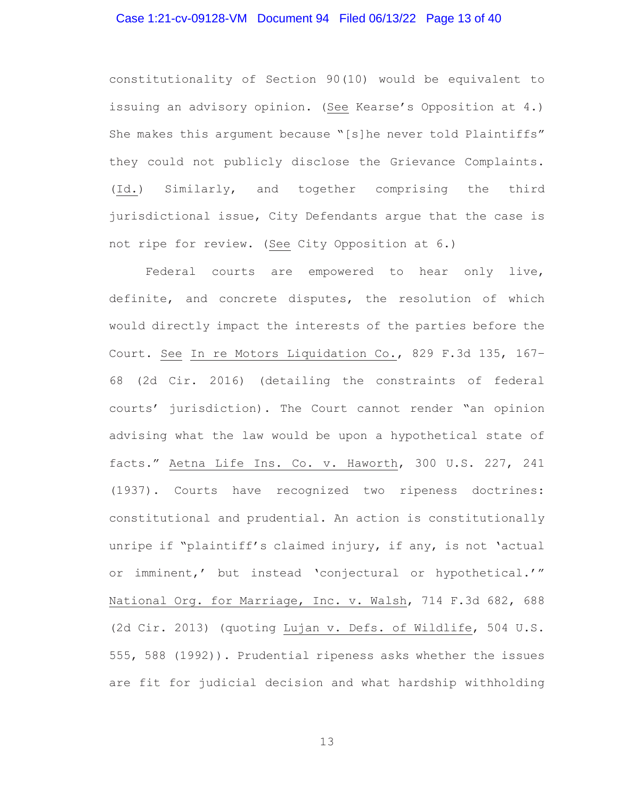### Case 1:21-cv-09128-VM Document 94 Filed 06/13/22 Page 13 of 40

constitutionality of Section 90(10) would be equivalent to issuing an advisory opinion. (See Kearse's Opposition at 4.) She makes this argument because "[s]he never told Plaintiffs" they could not publicly disclose the Grievance Complaints. (Id.) Similarly, and together comprising the third jurisdictional issue, City Defendants argue that the case is not ripe for review. (See City Opposition at 6.)

 Federal courts are empowered to hear only live, definite, and concrete disputes, the resolution of which would directly impact the interests of the parties before the Court. See In re Motors Liquidation Co., 829 F.3d 135, 167– 68 (2d Cir. 2016) (detailing the constraints of federal courts' jurisdiction). The Court cannot render "an opinion advising what the law would be upon a hypothetical state of facts." Aetna Life Ins. Co. v. Haworth, 300 U.S. 227, 241 (1937). Courts have recognized two ripeness doctrines: constitutional and prudential. An action is constitutionally unripe if "plaintiff's claimed injury, if any, is not 'actual or imminent,' but instead 'conjectural or hypothetical.'" National Org. for Marriage, Inc. v. Walsh, 714 F.3d 682, 688 (2d Cir. 2013) (quoting Lujan v. Defs. of Wildlife, 504 U.S. 555, 588 (1992)). Prudential ripeness asks whether the issues are fit for judicial decision and what hardship withholding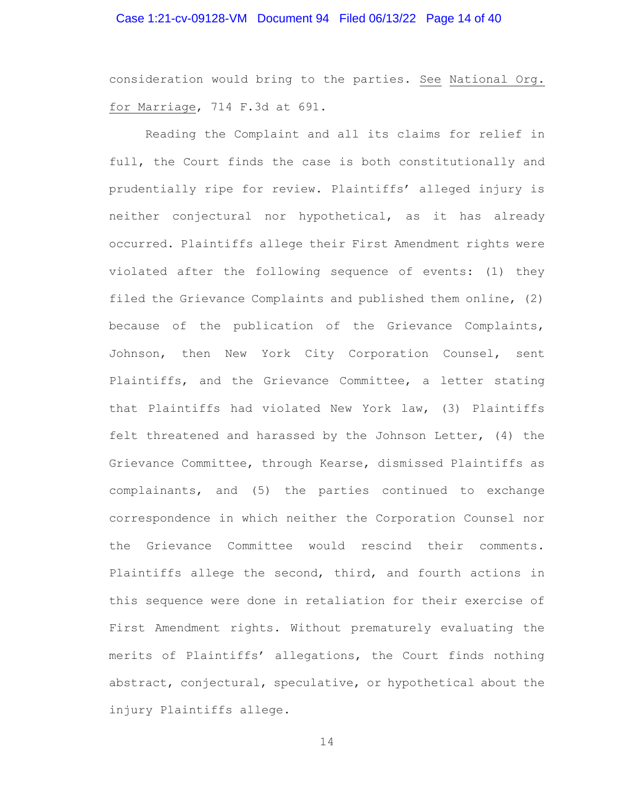# Case 1:21-cv-09128-VM Document 94 Filed 06/13/22 Page 14 of 40

consideration would bring to the parties. See National Org. for Marriage, 714 F.3d at 691.

Reading the Complaint and all its claims for relief in full, the Court finds the case is both constitutionally and prudentially ripe for review. Plaintiffs' alleged injury is neither conjectural nor hypothetical, as it has already occurred. Plaintiffs allege their First Amendment rights were violated after the following sequence of events: (1) they filed the Grievance Complaints and published them online, (2) because of the publication of the Grievance Complaints, Johnson, then New York City Corporation Counsel, sent Plaintiffs, and the Grievance Committee, a letter stating that Plaintiffs had violated New York law, (3) Plaintiffs felt threatened and harassed by the Johnson Letter, (4) the Grievance Committee, through Kearse, dismissed Plaintiffs as complainants, and (5) the parties continued to exchange correspondence in which neither the Corporation Counsel nor the Grievance Committee would rescind their comments. Plaintiffs allege the second, third, and fourth actions in this sequence were done in retaliation for their exercise of First Amendment rights. Without prematurely evaluating the merits of Plaintiffs' allegations, the Court finds nothing abstract, conjectural, speculative, or hypothetical about the injury Plaintiffs allege.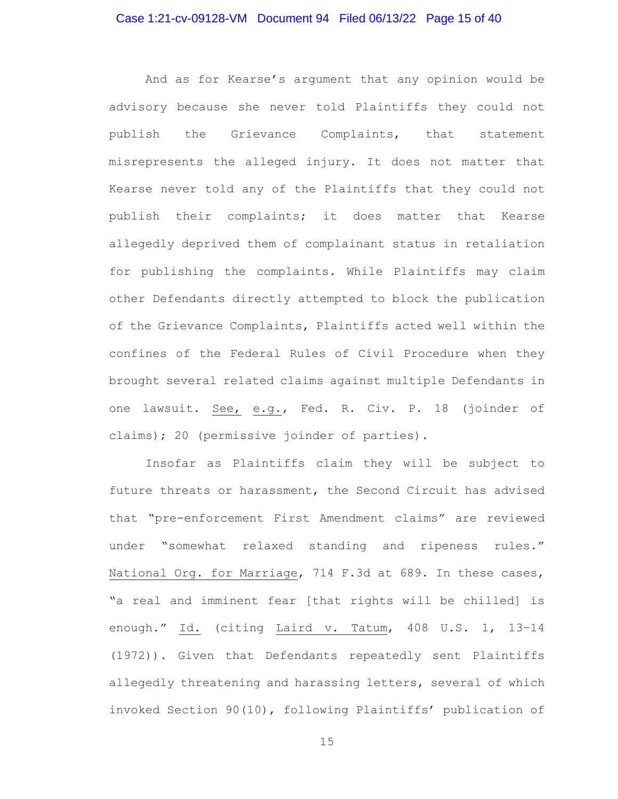# Case 1:21-cv-09128-VM Document 94 Filed 06/13/22 Page 15 of 40

And as for Kearse's argument that any opinion would be advisory because she never told Plaintiffs they could not publish the Grievance Complaints, that statement misrepresents the alleged injury. It does not matter that Kearse never told any of the Plaintiffs that they could not publish their complaints; it does matter that Kearse allegedly deprived them of complainant status in retaliation for publishing the complaints. While Plaintiffs may claim other Defendants directly attempted to block the publication of the Grievance Complaints, Plaintiffs acted well within the confines of the Federal Rules of Civil Procedure when they brought several related claims against multiple Defendants in one lawsuit. See, e.g., Fed. R. Civ. P. 18 (joinder of claims); 20 (permissive joinder of parties).

Insofar as Plaintiffs claim they will be subject to future threats or harassment, the Second Circuit has advised that "pre-enforcement First Amendment claims" are reviewed under "somewhat relaxed standing and ripeness rules." National Org. for Marriage, 714 F.3d at 689. In these cases, "a real and imminent fear [that rights will be chilled] is enough." Id. (citing Laird v. Tatum, 408 U.S. 1, 13–14 (1972)). Given that Defendants repeatedly sent Plaintiffs allegedly threatening and harassing letters, several of which invoked Section 90(10), following Plaintiffs' publication of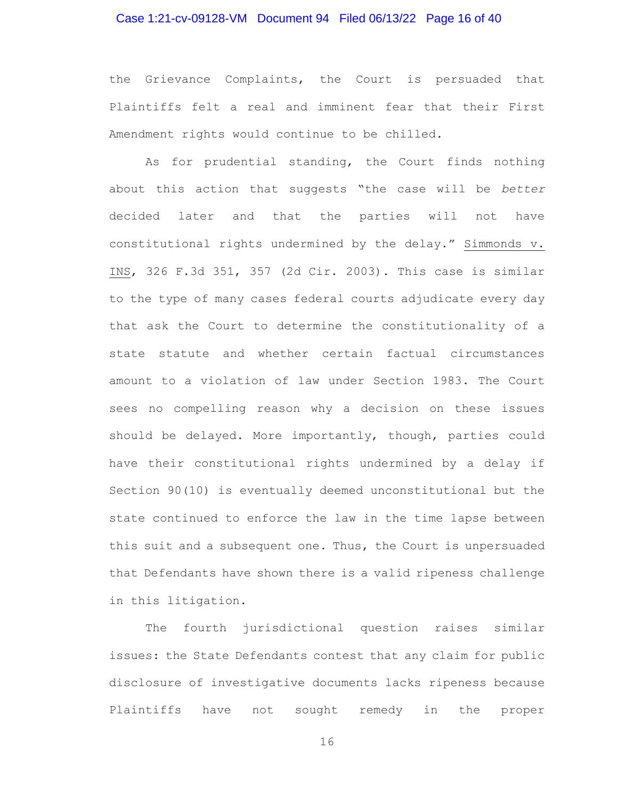## Case 1:21-cv-09128-VM Document 94 Filed 06/13/22 Page 16 of 40

the Grievance Complaints, the Court is persuaded that Plaintiffs felt a real and imminent fear that their First Amendment rights would continue to be chilled.

As for prudential standing, the Court finds nothing about this action that suggests "the case will be *better* decided later and that the parties will not have constitutional rights undermined by the delay." Simmonds v. INS, 326 F.3d 351, 357 (2d Cir. 2003). This case is similar to the type of many cases federal courts adjudicate every day that ask the Court to determine the constitutionality of a state statute and whether certain factual circumstances amount to a violation of law under Section 1983. The Court sees no compelling reason why a decision on these issues should be delayed. More importantly, though, parties could have their constitutional rights undermined by a delay if Section 90(10) is eventually deemed unconstitutional but the state continued to enforce the law in the time lapse between this suit and a subsequent one. Thus, the Court is unpersuaded that Defendants have shown there is a valid ripeness challenge in this litigation.

 The fourth jurisdictional question raises similar issues: the State Defendants contest that any claim for public disclosure of investigative documents lacks ripeness because Plaintiffs have not sought remedy in the proper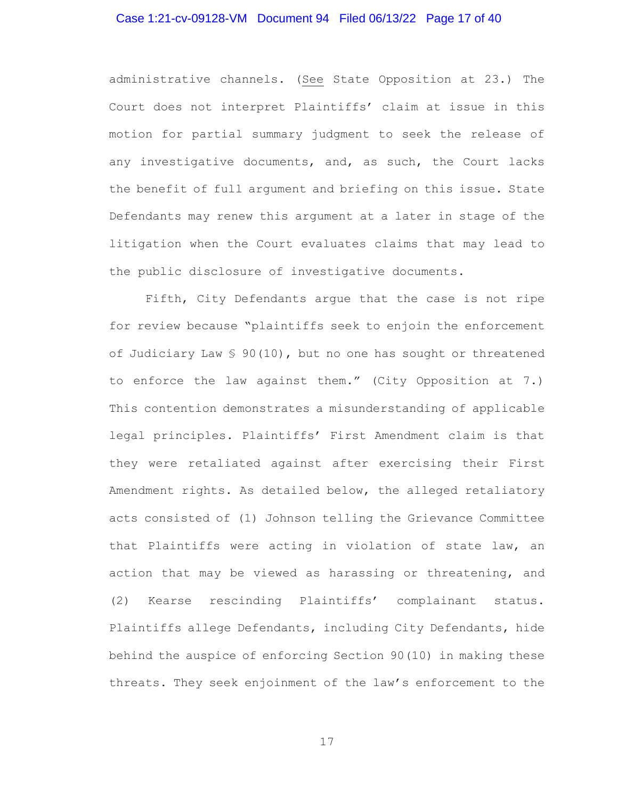### Case 1:21-cv-09128-VM Document 94 Filed 06/13/22 Page 17 of 40

administrative channels. (See State Opposition at 23.) The Court does not interpret Plaintiffs' claim at issue in this motion for partial summary judgment to seek the release of any investigative documents, and, as such, the Court lacks the benefit of full argument and briefing on this issue. State Defendants may renew this argument at a later in stage of the litigation when the Court evaluates claims that may lead to the public disclosure of investigative documents.

 Fifth, City Defendants argue that the case is not ripe for review because "plaintiffs seek to enjoin the enforcement of Judiciary Law § 90(10), but no one has sought or threatened to enforce the law against them." (City Opposition at 7.) This contention demonstrates a misunderstanding of applicable legal principles. Plaintiffs' First Amendment claim is that they were retaliated against after exercising their First Amendment rights. As detailed below, the alleged retaliatory acts consisted of (1) Johnson telling the Grievance Committee that Plaintiffs were acting in violation of state law, an action that may be viewed as harassing or threatening, and (2) Kearse rescinding Plaintiffs' complainant status. Plaintiffs allege Defendants, including City Defendants, hide behind the auspice of enforcing Section 90(10) in making these threats. They seek enjoinment of the law's enforcement to the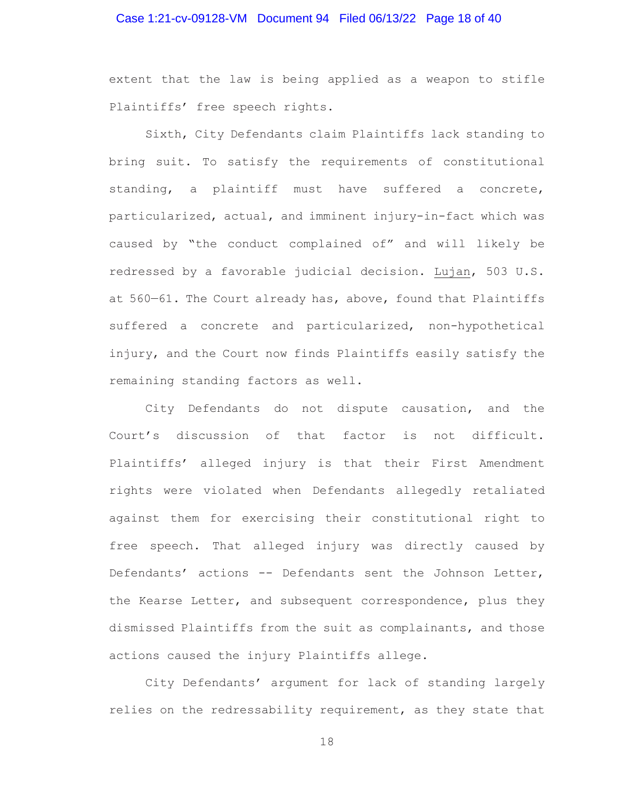# Case 1:21-cv-09128-VM Document 94 Filed 06/13/22 Page 18 of 40

extent that the law is being applied as a weapon to stifle Plaintiffs' free speech rights.

 Sixth, City Defendants claim Plaintiffs lack standing to bring suit. To satisfy the requirements of constitutional standing, a plaintiff must have suffered a concrete, particularized, actual, and imminent injury-in-fact which was caused by "the conduct complained of" and will likely be redressed by a favorable judicial decision. Lujan, 503 U.S. at 560—61. The Court already has, above, found that Plaintiffs suffered a concrete and particularized, non-hypothetical injury, and the Court now finds Plaintiffs easily satisfy the remaining standing factors as well.

City Defendants do not dispute causation, and the Court's discussion of that factor is not difficult. Plaintiffs' alleged injury is that their First Amendment rights were violated when Defendants allegedly retaliated against them for exercising their constitutional right to free speech. That alleged injury was directly caused by Defendants' actions -- Defendants sent the Johnson Letter, the Kearse Letter, and subsequent correspondence, plus they dismissed Plaintiffs from the suit as complainants, and those actions caused the injury Plaintiffs allege.

City Defendants' argument for lack of standing largely relies on the redressability requirement, as they state that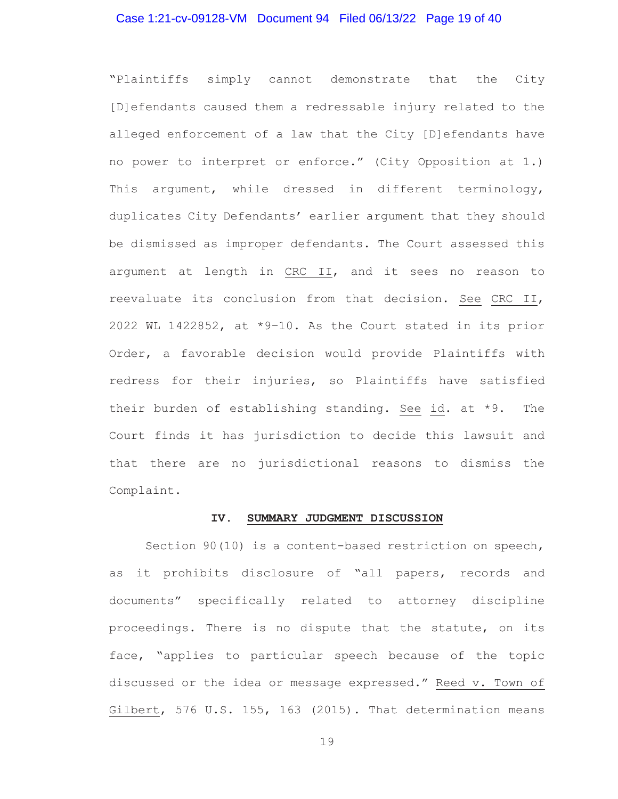### Case 1:21-cv-09128-VM Document 94 Filed 06/13/22 Page 19 of 40

"Plaintiffs simply cannot demonstrate that the City [D]efendants caused them a redressable injury related to the alleged enforcement of a law that the City [D]efendants have no power to interpret or enforce." (City Opposition at 1.) This argument, while dressed in different terminology, duplicates City Defendants' earlier argument that they should be dismissed as improper defendants. The Court assessed this argument at length in CRC II, and it sees no reason to reevaluate its conclusion from that decision. See CRC II, 2022 WL 1422852, at \*9–10. As the Court stated in its prior Order, a favorable decision would provide Plaintiffs with redress for their injuries, so Plaintiffs have satisfied their burden of establishing standing. See id. at \*9. The Court finds it has jurisdiction to decide this lawsuit and that there are no jurisdictional reasons to dismiss the Complaint.

#### **IV. SUMMARY JUDGMENT DISCUSSION**

Section 90(10) is a content-based restriction on speech, as it prohibits disclosure of "all papers, records and documents" specifically related to attorney discipline proceedings. There is no dispute that the statute, on its face, "applies to particular speech because of the topic discussed or the idea or message expressed." Reed v. Town of Gilbert, 576 U.S. 155, 163 (2015). That determination means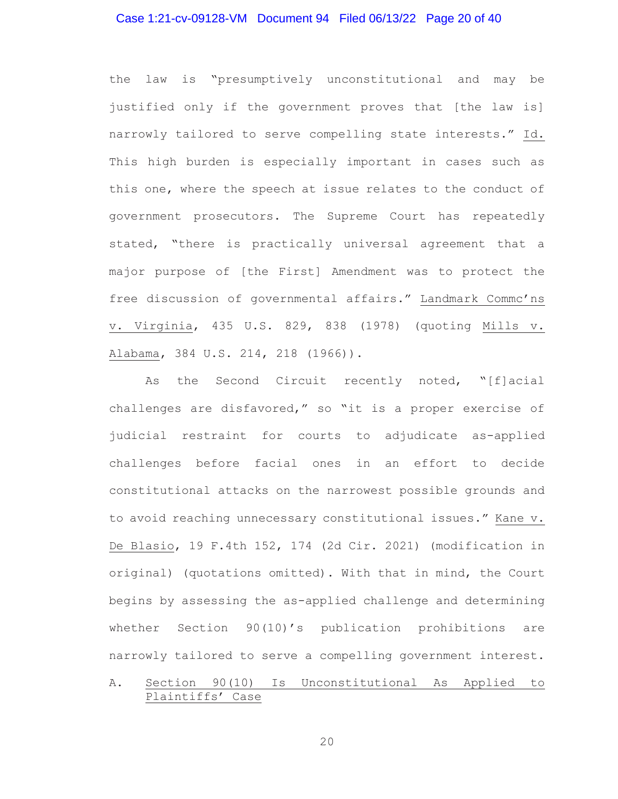### Case 1:21-cv-09128-VM Document 94 Filed 06/13/22 Page 20 of 40

the law is "presumptively unconstitutional and may be justified only if the government proves that [the law is] narrowly tailored to serve compelling state interests." Id. This high burden is especially important in cases such as this one, where the speech at issue relates to the conduct of government prosecutors. The Supreme Court has repeatedly stated, "there is practically universal agreement that a major purpose of [the First] Amendment was to protect the free discussion of governmental affairs." Landmark Commc'ns v. Virginia, 435 U.S. 829, 838 (1978) (quoting Mills v. Alabama, 384 U.S. 214, 218 (1966)).

As the Second Circuit recently noted, "[f]acial challenges are disfavored," so "it is a proper exercise of judicial restraint for courts to adjudicate as-applied challenges before facial ones in an effort to decide constitutional attacks on the narrowest possible grounds and to avoid reaching unnecessary constitutional issues." Kane v. De Blasio, 19 F.4th 152, 174 (2d Cir. 2021) (modification in original) (quotations omitted). With that in mind, the Court begins by assessing the as-applied challenge and determining whether Section 90(10)'s publication prohibitions are narrowly tailored to serve a compelling government interest.

# A. Section 90(10) Is Unconstitutional As Applied to Plaintiffs' Case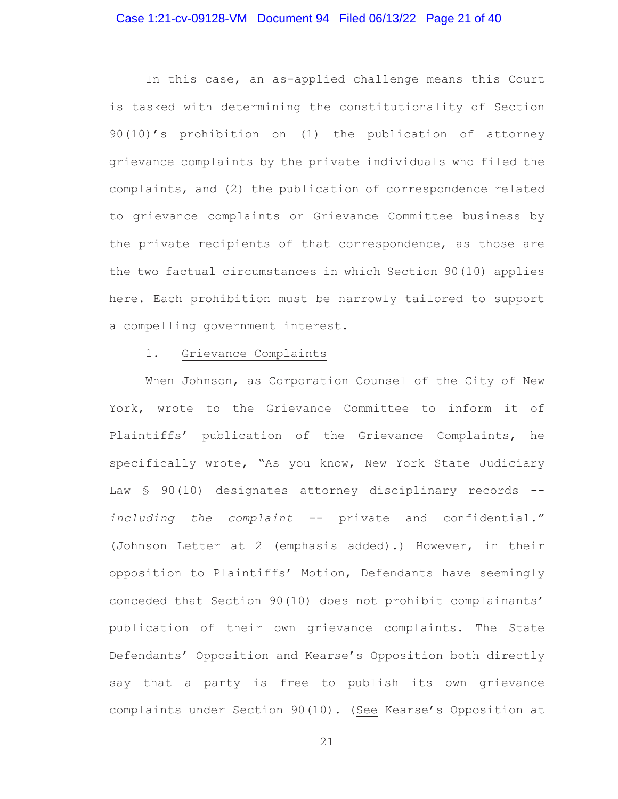### Case 1:21-cv-09128-VM Document 94 Filed 06/13/22 Page 21 of 40

In this case, an as-applied challenge means this Court is tasked with determining the constitutionality of Section 90(10)'s prohibition on (1) the publication of attorney grievance complaints by the private individuals who filed the complaints, and (2) the publication of correspondence related to grievance complaints or Grievance Committee business by the private recipients of that correspondence, as those are the two factual circumstances in which Section 90(10) applies here. Each prohibition must be narrowly tailored to support a compelling government interest.

#### 1. Grievance Complaints

When Johnson, as Corporation Counsel of the City of New York, wrote to the Grievance Committee to inform it of Plaintiffs' publication of the Grievance Complaints, he specifically wrote, "As you know, New York State Judiciary Law § 90(10) designates attorney disciplinary records -*including the complaint* -- private and confidential." (Johnson Letter at 2 (emphasis added).) However, in their opposition to Plaintiffs' Motion, Defendants have seemingly conceded that Section 90(10) does not prohibit complainants' publication of their own grievance complaints. The State Defendants' Opposition and Kearse's Opposition both directly say that a party is free to publish its own grievance complaints under Section 90(10). (See Kearse's Opposition at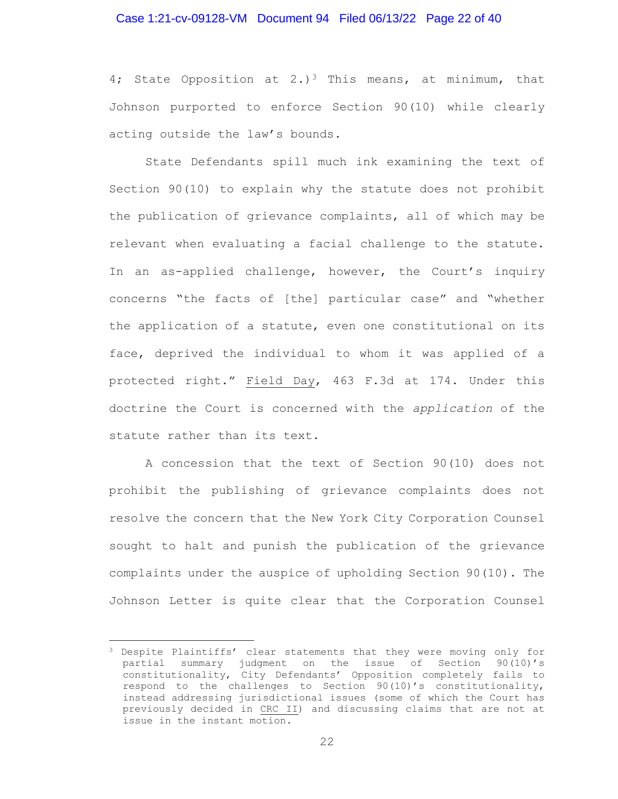### Case 1:21-cv-09128-VM Document 94 Filed 06/13/22 Page 22 of 40

4; State Opposition at 2.)<sup>3</sup> This means, at minimum, that Johnson purported to enforce Section 90(10) while clearly acting outside the law's bounds.

State Defendants spill much ink examining the text of Section 90(10) to explain why the statute does not prohibit the publication of grievance complaints, all of which may be relevant when evaluating a facial challenge to the statute. In an as-applied challenge, however, the Court's inquiry concerns "the facts of [the] particular case" and "whether the application of a statute, even one constitutional on its face, deprived the individual to whom it was applied of a protected right." Field Day, 463 F.3d at 174. Under this doctrine the Court is concerned with the *application* of the statute rather than its text.

A concession that the text of Section 90(10) does not prohibit the publishing of grievance complaints does not resolve the concern that the New York City Corporation Counsel sought to halt and punish the publication of the grievance complaints under the auspice of upholding Section 90(10). The Johnson Letter is quite clear that the Corporation Counsel

<sup>&</sup>lt;sup>3</sup> Despite Plaintiffs' clear statements that they were moving only for partial summary judgment on the issue of Section 90(10)'s constitutionality, City Defendants' Opposition completely fails to respond to the challenges to Section 90(10)'s constitutionality, instead addressing jurisdictional issues (some of which the Court has previously decided in CRC II) and discussing claims that are not at issue in the instant motion.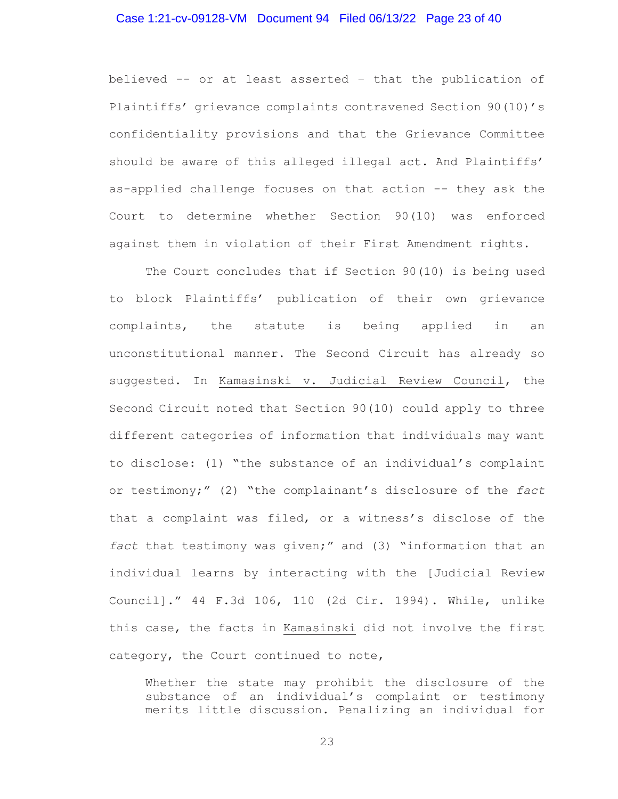### Case 1:21-cv-09128-VM Document 94 Filed 06/13/22 Page 23 of 40

believed -- or at least asserted – that the publication of Plaintiffs' grievance complaints contravened Section 90(10)'s confidentiality provisions and that the Grievance Committee should be aware of this alleged illegal act. And Plaintiffs' as-applied challenge focuses on that action -- they ask the Court to determine whether Section 90(10) was enforced against them in violation of their First Amendment rights.

The Court concludes that if Section 90(10) is being used to block Plaintiffs' publication of their own grievance complaints, the statute is being applied in an unconstitutional manner. The Second Circuit has already so suggested. In Kamasinski v. Judicial Review Council, the Second Circuit noted that Section 90(10) could apply to three different categories of information that individuals may want to disclose: (1) "the substance of an individual's complaint or testimony;" (2) "the complainant's disclosure of the *fact* that a complaint was filed, or a witness's disclose of the *fact* that testimony was given;" and (3) "information that an individual learns by interacting with the [Judicial Review Council]." 44 F.3d 106, 110 (2d Cir. 1994). While, unlike this case, the facts in Kamasinski did not involve the first category, the Court continued to note,

Whether the state may prohibit the disclosure of the substance of an individual's complaint or testimony merits little discussion. Penalizing an individual for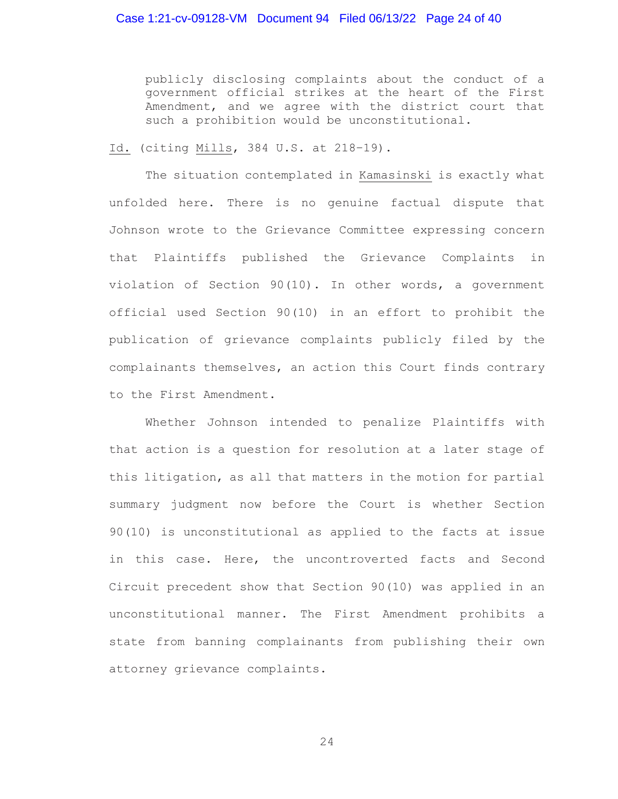publicly disclosing complaints about the conduct of a government official strikes at the heart of the First Amendment, and we agree with the district court that such a prohibition would be unconstitutional.

Id. (citing Mills, 384 U.S. at 218–19).

The situation contemplated in Kamasinski is exactly what unfolded here. There is no genuine factual dispute that Johnson wrote to the Grievance Committee expressing concern that Plaintiffs published the Grievance Complaints in violation of Section 90(10). In other words, a government official used Section 90(10) in an effort to prohibit the publication of grievance complaints publicly filed by the complainants themselves, an action this Court finds contrary to the First Amendment.

Whether Johnson intended to penalize Plaintiffs with that action is a question for resolution at a later stage of this litigation, as all that matters in the motion for partial summary judgment now before the Court is whether Section 90(10) is unconstitutional as applied to the facts at issue in this case. Here, the uncontroverted facts and Second Circuit precedent show that Section 90(10) was applied in an unconstitutional manner. The First Amendment prohibits a state from banning complainants from publishing their own attorney grievance complaints.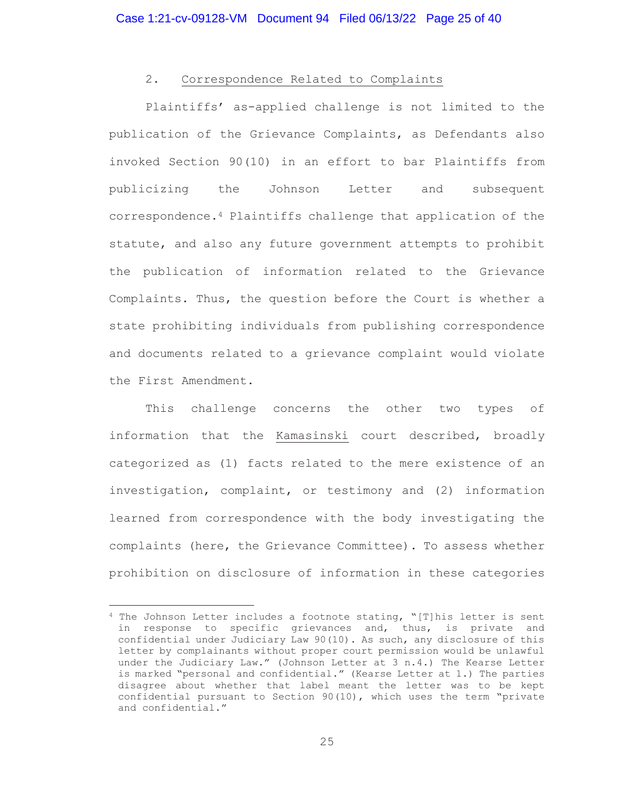# 2. Correspondence Related to Complaints

Plaintiffs' as-applied challenge is not limited to the publication of the Grievance Complaints, as Defendants also invoked Section 90(10) in an effort to bar Plaintiffs from publicizing the Johnson Letter and subsequent correspondence.4 Plaintiffs challenge that application of the statute, and also any future government attempts to prohibit the publication of information related to the Grievance Complaints. Thus, the question before the Court is whether a state prohibiting individuals from publishing correspondence and documents related to a grievance complaint would violate the First Amendment.

This challenge concerns the other two types of information that the Kamasinski court described, broadly categorized as (1) facts related to the mere existence of an investigation, complaint, or testimony and (2) information learned from correspondence with the body investigating the complaints (here, the Grievance Committee). To assess whether prohibition on disclosure of information in these categories

<sup>&</sup>lt;sup>4</sup> The Johnson Letter includes a footnote stating, "[T]his letter is sent in response to specific grievances and, thus, is private and confidential under Judiciary Law 90(10). As such, any disclosure of this letter by complainants without proper court permission would be unlawful under the Judiciary Law." (Johnson Letter at 3 n.4.) The Kearse Letter is marked "personal and confidential." (Kearse Letter at 1.) The parties disagree about whether that label meant the letter was to be kept confidential pursuant to Section 90(10), which uses the term "private and confidential."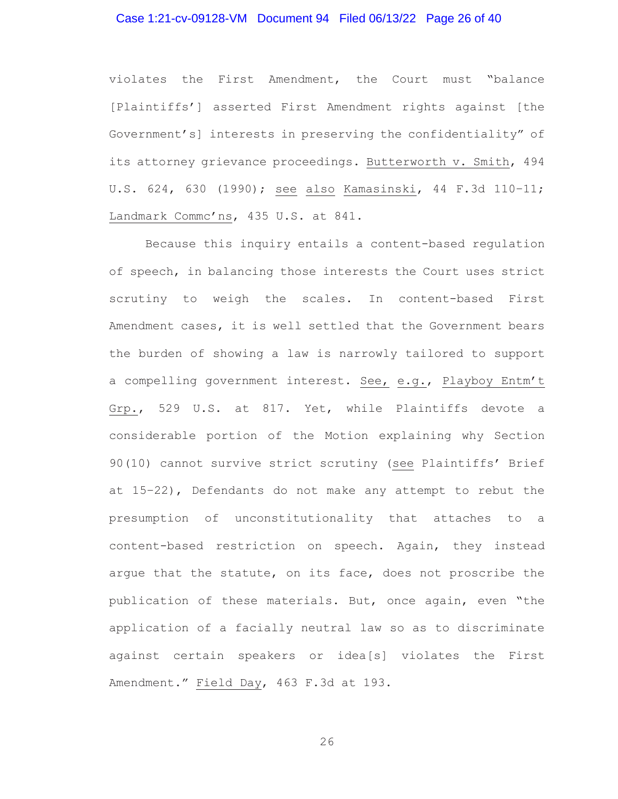### Case 1:21-cv-09128-VM Document 94 Filed 06/13/22 Page 26 of 40

violates the First Amendment, the Court must "balance [Plaintiffs'] asserted First Amendment rights against [the Government's] interests in preserving the confidentiality" of its attorney grievance proceedings. Butterworth v. Smith, 494 U.S. 624, 630 (1990); see also Kamasinski, 44 F.3d 110–11; Landmark Commc'ns, 435 U.S. at 841.

Because this inquiry entails a content-based regulation of speech, in balancing those interests the Court uses strict scrutiny to weigh the scales. In content-based First Amendment cases, it is well settled that the Government bears the burden of showing a law is narrowly tailored to support a compelling government interest. See, e.g., Playboy Entm't Grp., 529 U.S. at 817. Yet, while Plaintiffs devote a considerable portion of the Motion explaining why Section 90(10) cannot survive strict scrutiny (see Plaintiffs' Brief at 15–22), Defendants do not make any attempt to rebut the presumption of unconstitutionality that attaches to a content-based restriction on speech. Again, they instead argue that the statute, on its face, does not proscribe the publication of these materials. But, once again, even "the application of a facially neutral law so as to discriminate against certain speakers or idea[s] violates the First Amendment." Field Day, 463 F.3d at 193.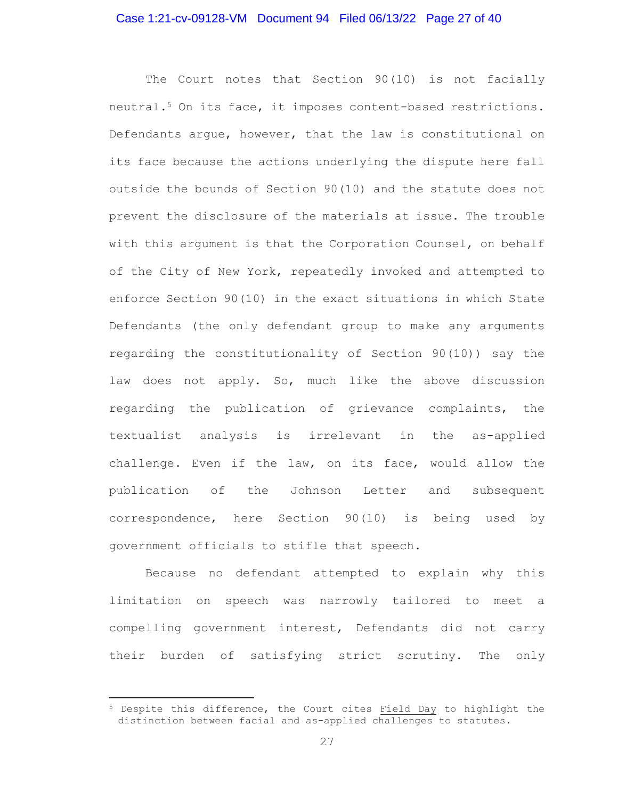### Case 1:21-cv-09128-VM Document 94 Filed 06/13/22 Page 27 of 40

The Court notes that Section 90(10) is not facially neutral.5 On its face, it imposes content-based restrictions. Defendants argue, however, that the law is constitutional on its face because the actions underlying the dispute here fall outside the bounds of Section 90(10) and the statute does not prevent the disclosure of the materials at issue. The trouble with this argument is that the Corporation Counsel, on behalf of the City of New York, repeatedly invoked and attempted to enforce Section 90(10) in the exact situations in which State Defendants (the only defendant group to make any arguments regarding the constitutionality of Section 90(10)) say the law does not apply. So, much like the above discussion regarding the publication of grievance complaints, the textualist analysis is irrelevant in the as-applied challenge. Even if the law, on its face, would allow the publication of the Johnson Letter and subsequent correspondence, here Section 90(10) is being used by government officials to stifle that speech.

Because no defendant attempted to explain why this limitation on speech was narrowly tailored to meet a compelling government interest, Defendants did not carry their burden of satisfying strict scrutiny. The only

<sup>5</sup> Despite this difference, the Court cites Field Day to highlight the distinction between facial and as-applied challenges to statutes.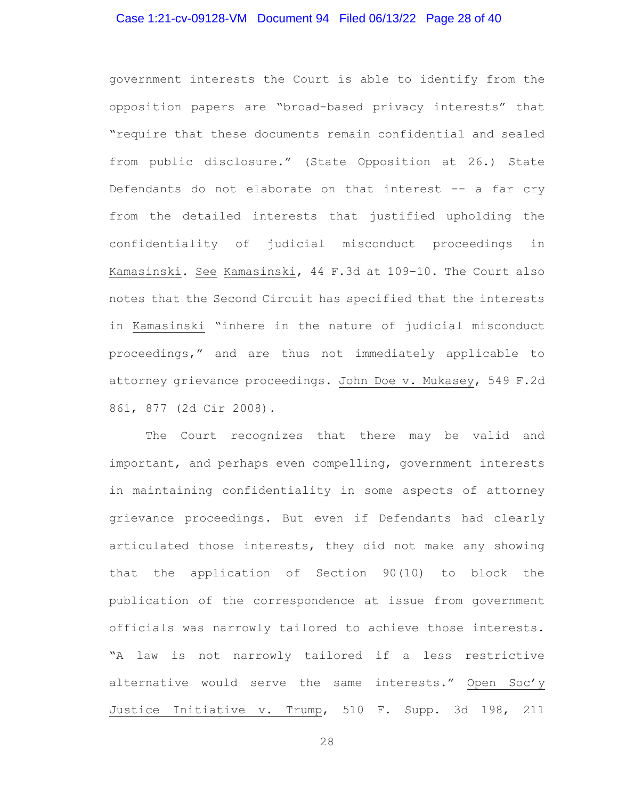### Case 1:21-cv-09128-VM Document 94 Filed 06/13/22 Page 28 of 40

government interests the Court is able to identify from the opposition papers are "broad-based privacy interests" that "require that these documents remain confidential and sealed from public disclosure." (State Opposition at 26.) State Defendants do not elaborate on that interest -- a far cry from the detailed interests that justified upholding the confidentiality of judicial misconduct proceedings in Kamasinski. See Kamasinski, 44 F.3d at 109–10. The Court also notes that the Second Circuit has specified that the interests in Kamasinski "inhere in the nature of judicial misconduct proceedings," and are thus not immediately applicable to attorney grievance proceedings. John Doe v. Mukasey, 549 F.2d 861, 877 (2d Cir 2008).

The Court recognizes that there may be valid and important, and perhaps even compelling, government interests in maintaining confidentiality in some aspects of attorney grievance proceedings. But even if Defendants had clearly articulated those interests, they did not make any showing that the application of Section 90(10) to block the publication of the correspondence at issue from government officials was narrowly tailored to achieve those interests. "A law is not narrowly tailored if a less restrictive alternative would serve the same interests." Open Soc'y Justice Initiative v. Trump, 510 F. Supp. 3d 198, 211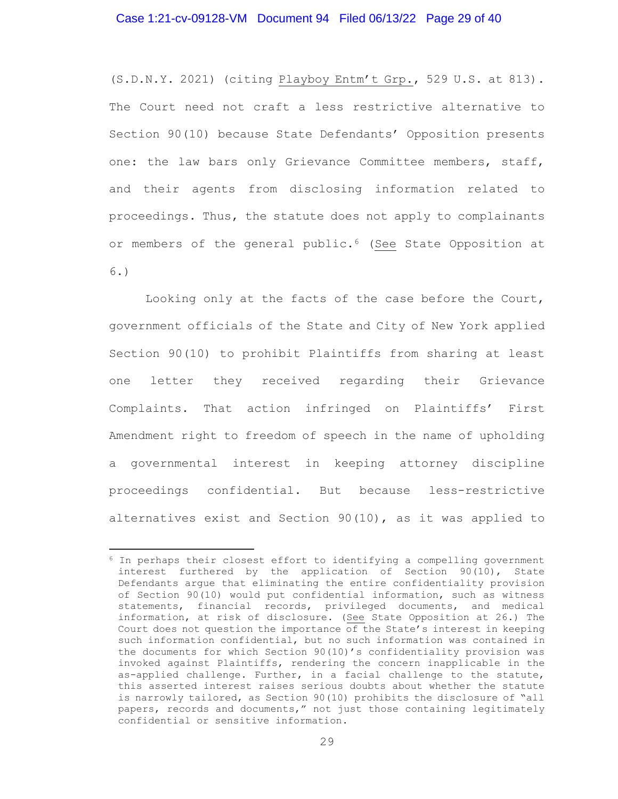### Case 1:21-cv-09128-VM Document 94 Filed 06/13/22 Page 29 of 40

(S.D.N.Y. 2021) (citing Playboy Entm't Grp., 529 U.S. at 813). The Court need not craft a less restrictive alternative to Section 90(10) because State Defendants' Opposition presents one: the law bars only Grievance Committee members, staff, and their agents from disclosing information related to proceedings. Thus, the statute does not apply to complainants or members of the general public.<sup>6</sup> (See State Opposition at 6.)

Looking only at the facts of the case before the Court, government officials of the State and City of New York applied Section 90(10) to prohibit Plaintiffs from sharing at least one letter they received regarding their Grievance Complaints. That action infringed on Plaintiffs' First Amendment right to freedom of speech in the name of upholding a governmental interest in keeping attorney discipline proceedings confidential. But because less-restrictive alternatives exist and Section 90(10), as it was applied to

<sup>6</sup> In perhaps their closest effort to identifying a compelling government interest furthered by the application of Section 90(10), State Defendants argue that eliminating the entire confidentiality provision of Section 90(10) would put confidential information, such as witness statements, financial records, privileged documents, and medical information, at risk of disclosure. (See State Opposition at 26.) The Court does not question the importance of the State's interest in keeping such information confidential, but no such information was contained in the documents for which Section 90(10)'s confidentiality provision was invoked against Plaintiffs, rendering the concern inapplicable in the as-applied challenge. Further, in a facial challenge to the statute, this asserted interest raises serious doubts about whether the statute is narrowly tailored, as Section 90(10) prohibits the disclosure of "all papers, records and documents," not just those containing legitimately confidential or sensitive information.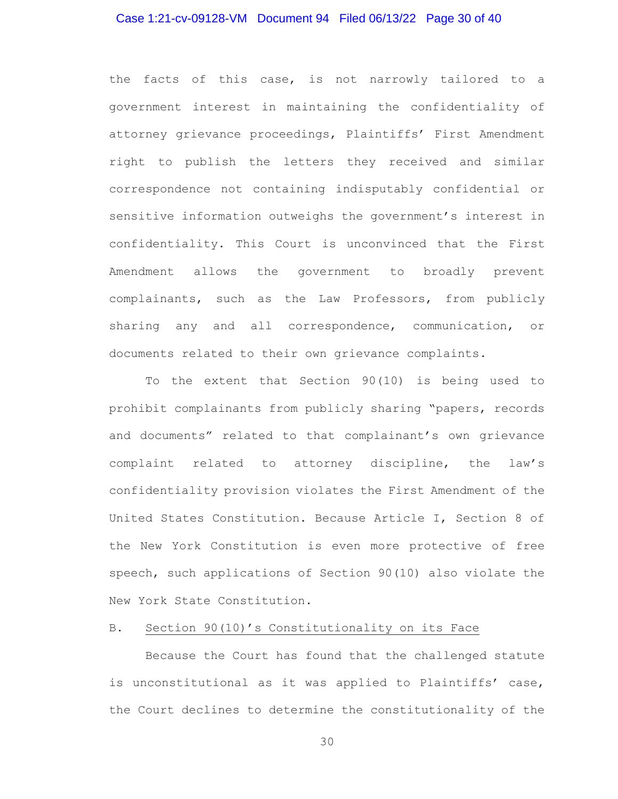#### Case 1:21-cv-09128-VM Document 94 Filed 06/13/22 Page 30 of 40

the facts of this case, is not narrowly tailored to a government interest in maintaining the confidentiality of attorney grievance proceedings, Plaintiffs' First Amendment right to publish the letters they received and similar correspondence not containing indisputably confidential or sensitive information outweighs the government's interest in confidentiality. This Court is unconvinced that the First Amendment allows the government to broadly prevent complainants, such as the Law Professors, from publicly sharing any and all correspondence, communication, or documents related to their own grievance complaints.

To the extent that Section 90(10) is being used to prohibit complainants from publicly sharing "papers, records and documents" related to that complainant's own grievance complaint related to attorney discipline, the law's confidentiality provision violates the First Amendment of the United States Constitution. Because Article I, Section 8 of the New York Constitution is even more protective of free speech, such applications of Section 90(10) also violate the New York State Constitution.

#### B. Section 90(10)'s Constitutionality on its Face

Because the Court has found that the challenged statute is unconstitutional as it was applied to Plaintiffs' case, the Court declines to determine the constitutionality of the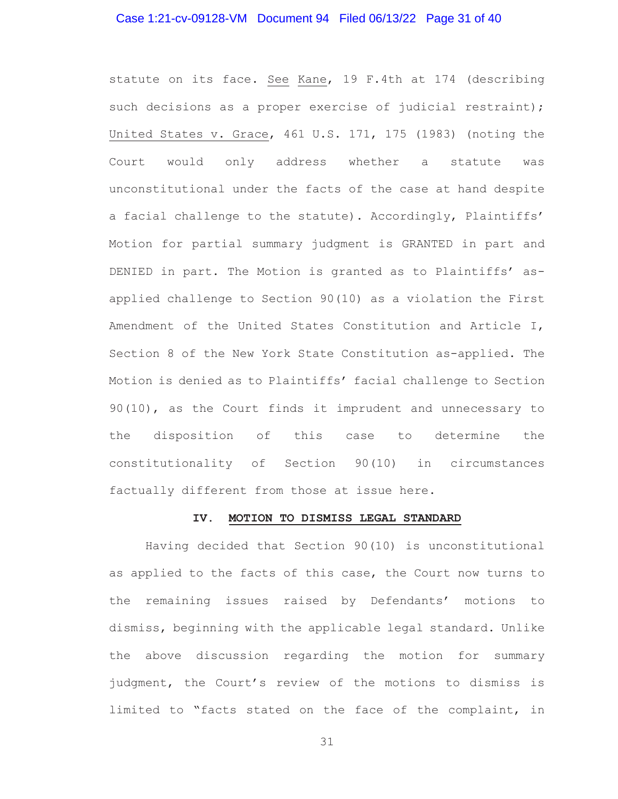### Case 1:21-cv-09128-VM Document 94 Filed 06/13/22 Page 31 of 40

statute on its face. See Kane, 19 F.4th at 174 (describing such decisions as a proper exercise of judicial restraint); United States v. Grace, 461 U.S. 171, 175 (1983) (noting the Court would only address whether a statute was unconstitutional under the facts of the case at hand despite a facial challenge to the statute). Accordingly, Plaintiffs' Motion for partial summary judgment is GRANTED in part and DENIED in part. The Motion is granted as to Plaintiffs' asapplied challenge to Section 90(10) as a violation the First Amendment of the United States Constitution and Article I, Section 8 of the New York State Constitution as-applied. The Motion is denied as to Plaintiffs' facial challenge to Section 90(10), as the Court finds it imprudent and unnecessary to the disposition of this case to determine the constitutionality of Section 90(10) in circumstances factually different from those at issue here.

#### **IV. MOTION TO DISMISS LEGAL STANDARD**

Having decided that Section 90(10) is unconstitutional as applied to the facts of this case, the Court now turns to the remaining issues raised by Defendants' motions to dismiss, beginning with the applicable legal standard. Unlike the above discussion regarding the motion for summary judgment, the Court's review of the motions to dismiss is limited to "facts stated on the face of the complaint, in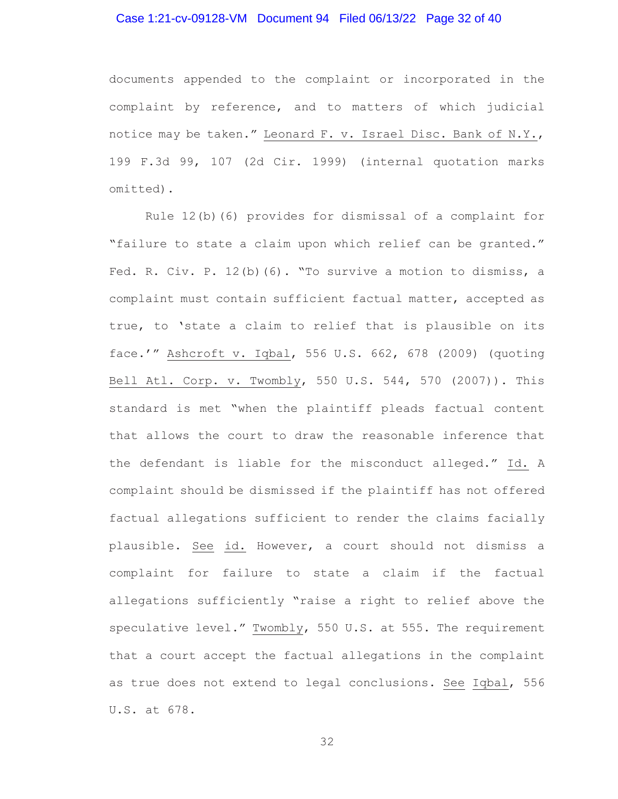# Case 1:21-cv-09128-VM Document 94 Filed 06/13/22 Page 32 of 40

documents appended to the complaint or incorporated in the complaint by reference, and to matters of which judicial notice may be taken." Leonard F. v. Israel Disc. Bank of N.Y., 199 F.3d 99, 107 (2d Cir. 1999) (internal quotation marks omitted).

Rule 12(b)(6) provides for dismissal of a complaint for "failure to state a claim upon which relief can be granted." Fed. R. Civ. P. 12(b)(6). "To survive a motion to dismiss, a complaint must contain sufficient factual matter, accepted as true, to 'state a claim to relief that is plausible on its face.'" Ashcroft v. Iqbal, 556 U.S. 662, 678 (2009) (quoting Bell Atl. Corp. v. Twombly, 550 U.S. 544, 570 (2007)). This standard is met "when the plaintiff pleads factual content that allows the court to draw the reasonable inference that the defendant is liable for the misconduct alleged." Id. A complaint should be dismissed if the plaintiff has not offered factual allegations sufficient to render the claims facially plausible. See id. However, a court should not dismiss a complaint for failure to state a claim if the factual allegations sufficiently "raise a right to relief above the speculative level." Twombly, 550 U.S. at 555. The requirement that a court accept the factual allegations in the complaint as true does not extend to legal conclusions. See Iqbal, 556 U.S. at 678.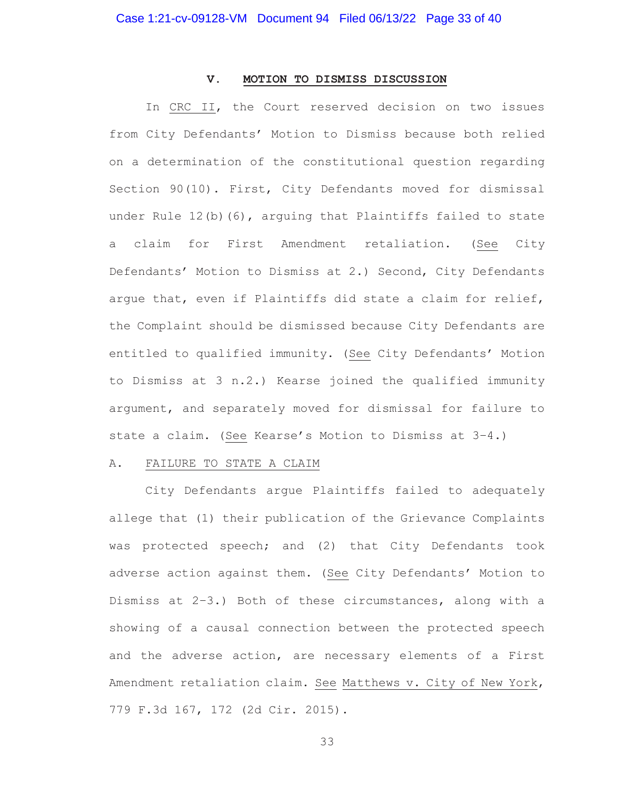#### **V. MOTION TO DISMISS DISCUSSION**

In CRC II, the Court reserved decision on two issues from City Defendants' Motion to Dismiss because both relied on a determination of the constitutional question regarding Section 90(10). First, City Defendants moved for dismissal under Rule 12(b)(6), arguing that Plaintiffs failed to state a claim for First Amendment retaliation. (See City Defendants' Motion to Dismiss at 2.) Second, City Defendants argue that, even if Plaintiffs did state a claim for relief, the Complaint should be dismissed because City Defendants are entitled to qualified immunity. (See City Defendants' Motion to Dismiss at 3 n.2.) Kearse joined the qualified immunity argument, and separately moved for dismissal for failure to state a claim. (See Kearse's Motion to Dismiss at 3–4.)

#### A. FAILURE TO STATE A CLAIM

City Defendants argue Plaintiffs failed to adequately allege that (1) their publication of the Grievance Complaints was protected speech; and (2) that City Defendants took adverse action against them. (See City Defendants' Motion to Dismiss at 2–3.) Both of these circumstances, along with a showing of a causal connection between the protected speech and the adverse action, are necessary elements of a First Amendment retaliation claim. See Matthews v. City of New York, 779 F.3d 167, 172 (2d Cir. 2015).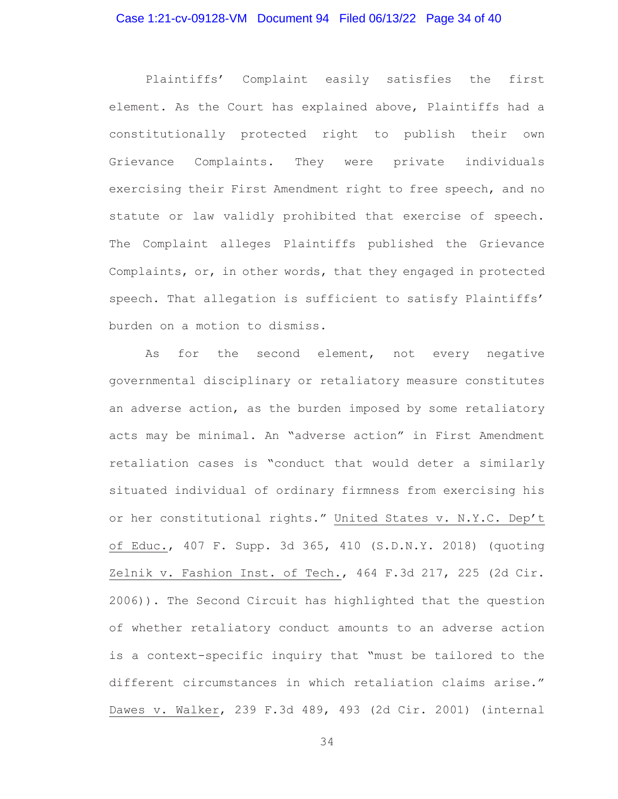### Case 1:21-cv-09128-VM Document 94 Filed 06/13/22 Page 34 of 40

Plaintiffs' Complaint easily satisfies the first element. As the Court has explained above, Plaintiffs had a constitutionally protected right to publish their own Grievance Complaints. They were private individuals exercising their First Amendment right to free speech, and no statute or law validly prohibited that exercise of speech. The Complaint alleges Plaintiffs published the Grievance Complaints, or, in other words, that they engaged in protected speech. That allegation is sufficient to satisfy Plaintiffs' burden on a motion to dismiss.

As for the second element, not every negative governmental disciplinary or retaliatory measure constitutes an adverse action, as the burden imposed by some retaliatory acts may be minimal. An "adverse action" in First Amendment retaliation cases is "conduct that would deter a similarly situated individual of ordinary firmness from exercising his or her constitutional rights." United States v. N.Y.C. Dep't of Educ., 407 F. Supp. 3d 365, 410 (S.D.N.Y. 2018) (quoting Zelnik v. Fashion Inst. of Tech., 464 F.3d 217, 225 (2d Cir. 2006)). The Second Circuit has highlighted that the question of whether retaliatory conduct amounts to an adverse action is a context-specific inquiry that "must be tailored to the different circumstances in which retaliation claims arise." Dawes v. Walker, 239 F.3d 489, 493 (2d Cir. 2001) (internal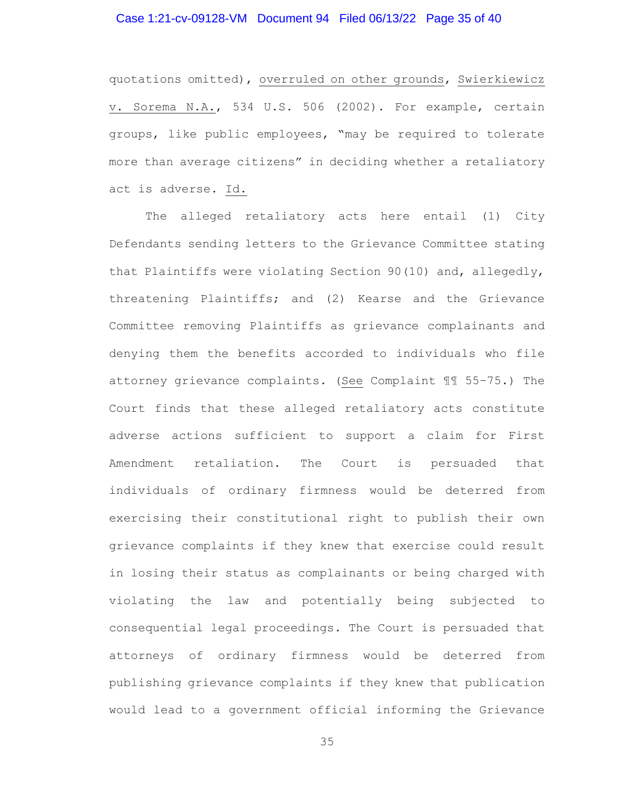# Case 1:21-cv-09128-VM Document 94 Filed 06/13/22 Page 35 of 40

quotations omitted), overruled on other grounds, Swierkiewicz v. Sorema N.A., 534 U.S. 506 (2002). For example, certain groups, like public employees, "may be required to tolerate more than average citizens" in deciding whether a retaliatory act is adverse. Id.

The alleged retaliatory acts here entail (1) City Defendants sending letters to the Grievance Committee stating that Plaintiffs were violating Section 90(10) and, allegedly, threatening Plaintiffs; and (2) Kearse and the Grievance Committee removing Plaintiffs as grievance complainants and denying them the benefits accorded to individuals who file attorney grievance complaints. (See Complaint ¶¶ 55–75.) The Court finds that these alleged retaliatory acts constitute adverse actions sufficient to support a claim for First Amendment retaliation. The Court is persuaded that individuals of ordinary firmness would be deterred from exercising their constitutional right to publish their own grievance complaints if they knew that exercise could result in losing their status as complainants or being charged with violating the law and potentially being subjected to consequential legal proceedings. The Court is persuaded that attorneys of ordinary firmness would be deterred from publishing grievance complaints if they knew that publication would lead to a government official informing the Grievance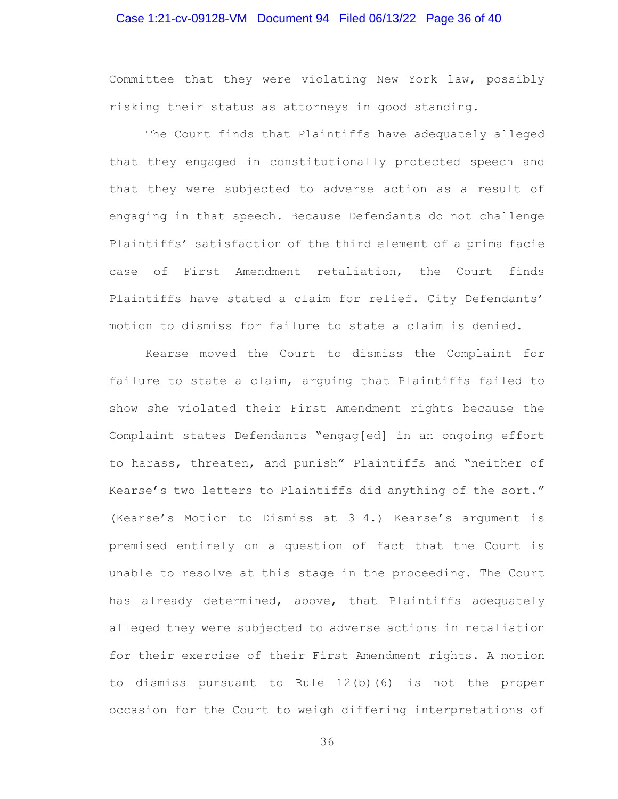### Case 1:21-cv-09128-VM Document 94 Filed 06/13/22 Page 36 of 40

Committee that they were violating New York law, possibly risking their status as attorneys in good standing.

The Court finds that Plaintiffs have adequately alleged that they engaged in constitutionally protected speech and that they were subjected to adverse action as a result of engaging in that speech. Because Defendants do not challenge Plaintiffs' satisfaction of the third element of a prima facie case of First Amendment retaliation, the Court finds Plaintiffs have stated a claim for relief. City Defendants' motion to dismiss for failure to state a claim is denied.

 Kearse moved the Court to dismiss the Complaint for failure to state a claim, arguing that Plaintiffs failed to show she violated their First Amendment rights because the Complaint states Defendants "engag[ed] in an ongoing effort to harass, threaten, and punish" Plaintiffs and "neither of Kearse's two letters to Plaintiffs did anything of the sort." (Kearse's Motion to Dismiss at 3–4.) Kearse's argument is premised entirely on a question of fact that the Court is unable to resolve at this stage in the proceeding. The Court has already determined, above, that Plaintiffs adequately alleged they were subjected to adverse actions in retaliation for their exercise of their First Amendment rights. A motion to dismiss pursuant to Rule 12(b)(6) is not the proper occasion for the Court to weigh differing interpretations of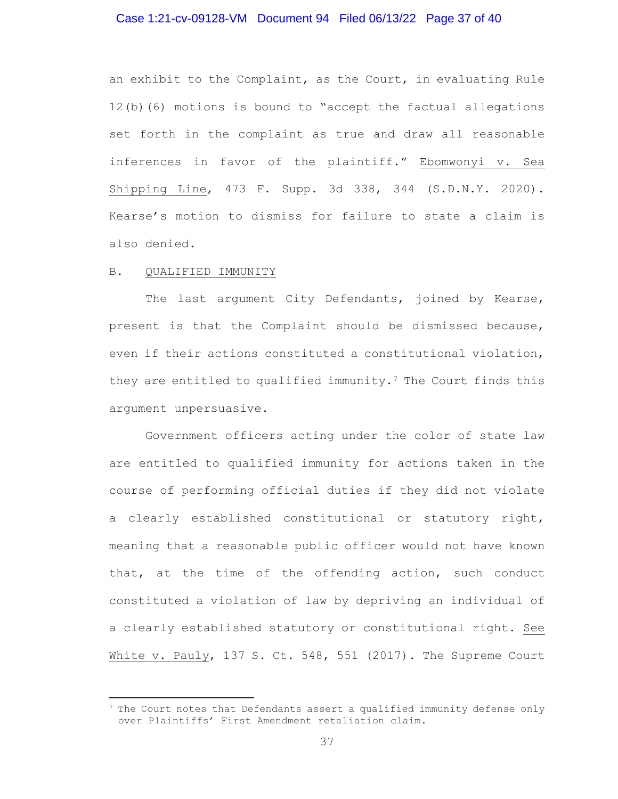### Case 1:21-cv-09128-VM Document 94 Filed 06/13/22 Page 37 of 40

an exhibit to the Complaint, as the Court, in evaluating Rule 12(b)(6) motions is bound to "accept the factual allegations set forth in the complaint as true and draw all reasonable inferences in favor of the plaintiff." Ebomwonyi v. Sea Shipping Line, 473 F. Supp. 3d 338, 344 (S.D.N.Y. 2020). Kearse's motion to dismiss for failure to state a claim is also denied.

#### B. QUALIFIED IMMUNITY

 The last argument City Defendants, joined by Kearse, present is that the Complaint should be dismissed because, even if their actions constituted a constitutional violation, they are entitled to qualified immunity.<sup>7</sup> The Court finds this argument unpersuasive.

Government officers acting under the color of state law are entitled to qualified immunity for actions taken in the course of performing official duties if they did not violate a clearly established constitutional or statutory right, meaning that a reasonable public officer would not have known that, at the time of the offending action, such conduct constituted a violation of law by depriving an individual of a clearly established statutory or constitutional right. See White v. Pauly, 137 S. Ct. 548, 551 (2017). The Supreme Court

 $7$  The Court notes that Defendants assert a qualified immunity defense only over Plaintiffs' First Amendment retaliation claim.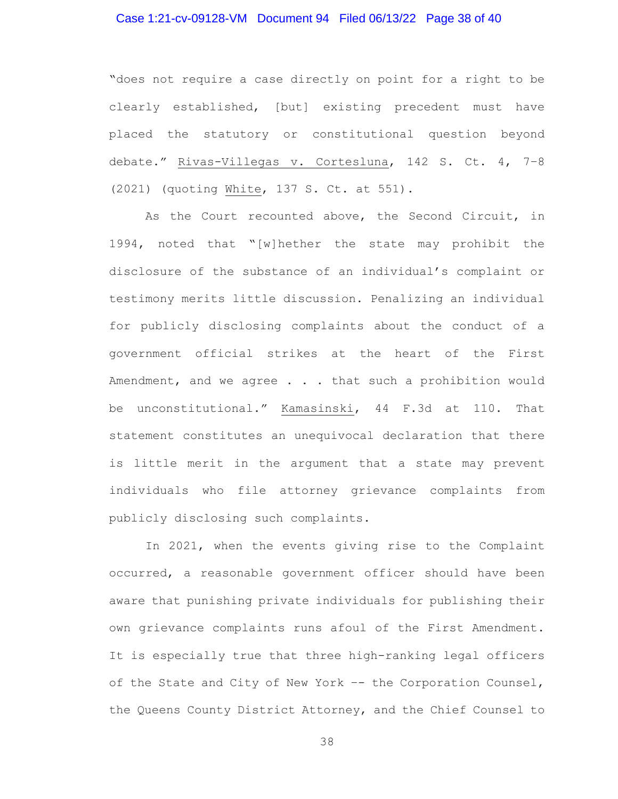### Case 1:21-cv-09128-VM Document 94 Filed 06/13/22 Page 38 of 40

"does not require a case directly on point for a right to be clearly established, [but] existing precedent must have placed the statutory or constitutional question beyond debate." Rivas-Villegas v. Cortesluna, 142 S. Ct. 4, 7–8 (2021) (quoting White, 137 S. Ct. at 551).

As the Court recounted above, the Second Circuit, in 1994, noted that "[w]hether the state may prohibit the disclosure of the substance of an individual's complaint or testimony merits little discussion. Penalizing an individual for publicly disclosing complaints about the conduct of a government official strikes at the heart of the First Amendment, and we agree . . . that such a prohibition would be unconstitutional." Kamasinski, 44 F.3d at 110. That statement constitutes an unequivocal declaration that there is little merit in the argument that a state may prevent individuals who file attorney grievance complaints from publicly disclosing such complaints.

In 2021, when the events giving rise to the Complaint occurred, a reasonable government officer should have been aware that punishing private individuals for publishing their own grievance complaints runs afoul of the First Amendment. It is especially true that three high-ranking legal officers of the State and City of New York –- the Corporation Counsel, the Queens County District Attorney, and the Chief Counsel to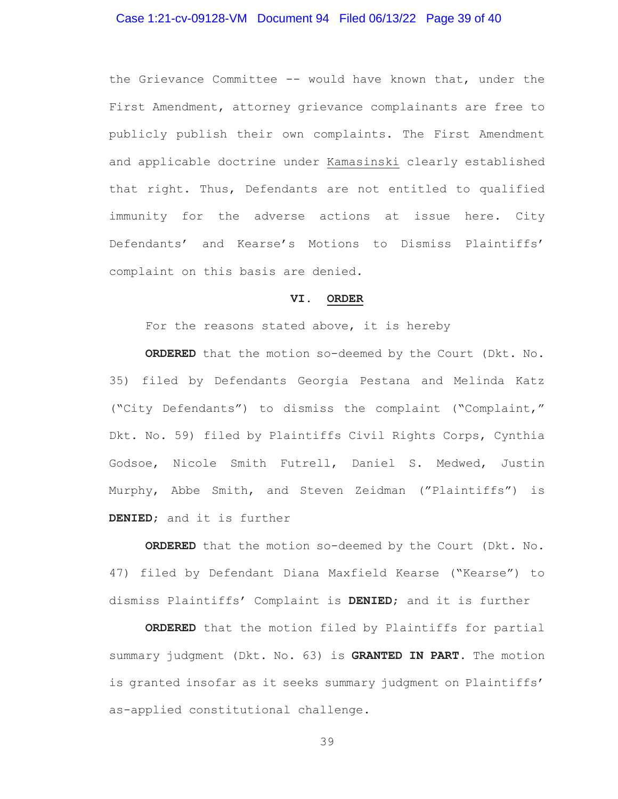#### Case 1:21-cv-09128-VM Document 94 Filed 06/13/22 Page 39 of 40

the Grievance Committee -- would have known that, under the First Amendment, attorney grievance complainants are free to publicly publish their own complaints. The First Amendment and applicable doctrine under Kamasinski clearly established that right. Thus, Defendants are not entitled to qualified immunity for the adverse actions at issue here. City Defendants' and Kearse's Motions to Dismiss Plaintiffs' complaint on this basis are denied.

### **VI. ORDER**

For the reasons stated above, it is hereby

**ORDERED** that the motion so-deemed by the Court (Dkt. No. 35) filed by Defendants Georgia Pestana and Melinda Katz ("City Defendants") to dismiss the complaint ("Complaint," Dkt. No. 59) filed by Plaintiffs Civil Rights Corps, Cynthia Godsoe, Nicole Smith Futrell, Daniel S. Medwed, Justin Murphy, Abbe Smith, and Steven Zeidman ("Plaintiffs") is **DENIED**; and it is further

**ORDERED** that the motion so-deemed by the Court (Dkt. No. 47) filed by Defendant Diana Maxfield Kearse ("Kearse") to dismiss Plaintiffs' Complaint is **DENIED**; and it is further

**ORDERED** that the motion filed by Plaintiffs for partial summary judgment (Dkt. No. 63) is **GRANTED IN PART**. The motion is granted insofar as it seeks summary judgment on Plaintiffs' as-applied constitutional challenge.